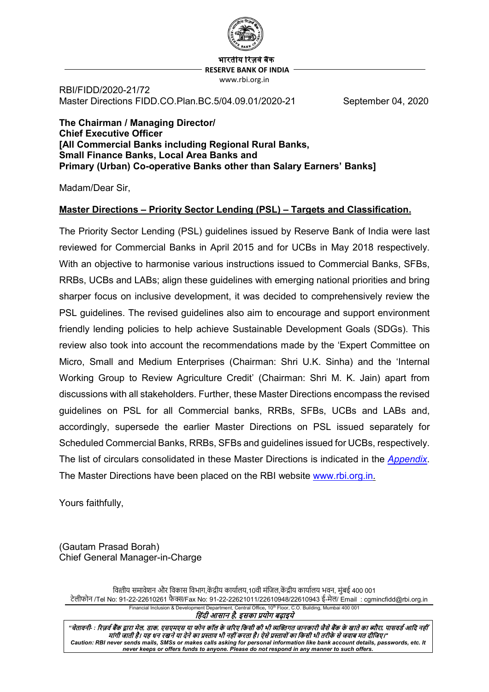

भारतीय रिजर्व बैंक  **RESERVE BANK OF INDIA** www.rbi.org.in

RBI/FIDD/2020-21/72 Master Directions FIDD.CO.Plan.BC.5/04.09.01/2020-21 September 04, 2020

**The Chairman / Managing Director/ Chief Executive Officer [All Commercial Banks including Regional Rural Banks, Small Finance Banks, Local Area Banks and Primary (Urban) Co-operative Banks other than Salary Earners' Banks]**

Madam/Dear Sir,

#### **Master Directions – Priority Sector Lending (PSL) – Targets and Classification.**

The Priority Sector Lending (PSL) guidelines issued by Reserve Bank of India were last reviewed for Commercial Banks in April 2015 and for UCBs in May 2018 respectively. With an objective to harmonise various instructions issued to Commercial Banks, SFBs, RRBs, UCBs and LABs; align these guidelines with emerging national priorities and bring sharper focus on inclusive development, it was decided to comprehensively review the PSL guidelines. The revised guidelines also aim to encourage and support environment friendly lending policies to help achieve Sustainable Development Goals (SDGs). This review also took into account the recommendations made by the 'Expert Committee on Micro, Small and Medium Enterprises (Chairman: Shri U.K. Sinha) and the 'Internal Working Group to Review Agriculture Credit' (Chairman: Shri M. K. Jain) apart from discussions with all stakeholders. Further, these Master Directions encompass the revised guidelines on PSL for all Commercial banks, RRBs, SFBs, UCBs and LABs and, accordingly, supersede the earlier Master Directions on PSL issued separately for Scheduled Commercial Banks, RRBs, SFBs and guidelines issued for UCBs, respectively. The list of circulars consolidated in these Master Directions is indicated in the *[Appendix](#page-36-0)*. The Master Directions have been placed on the RBI website [www.rbi.org.in.](http://www.rbi.org.in/)

Yours faithfully,

(Gautam Prasad Borah) Chief General Manager-in-Charge

वित्तीय समावेशन और विकास विभाग,केंद्रीय कार्यालय,10वी मंजिल,केंद्रीय कार्यालय भवन, मुंबई 400 001 टेलीफोन /Tel No: 91-22-22610261 फै �/Fax No: 91-22-22621011/22610948/22610943 ई-मेल/ Email : cgmincfidd@rbi.org.in Financial Inclusion & Development Department, Central Office**,** 10th Floor, C.O. Building, Mumbai 400 001

िहंदी आसान है*,* इसका प्रयोग बढ़ाइये

"चेतावनी- : रिजर्व बैंक द्वारा मेल, डाक, एसएमएस या फोन कॉल के जरिए किसी की भी व्यक्तिगत जानकारी जैसे बैंक के खाते का ब्यौरा, पासवर्ड आदि नहीं मांगी जाती है। यह धन रखने या देने का प्रस्ताव भी नहीं करता है। ऐसे प्रस्तावों का किसी भी तरीके से जवाब मत दीजिए।" *Caution: RBI never sends mails, SMSs or makes calls asking for personal information like bank account details, passwords, etc. It never keeps or offers funds to anyone. Please do not respond in any manner to such offers.*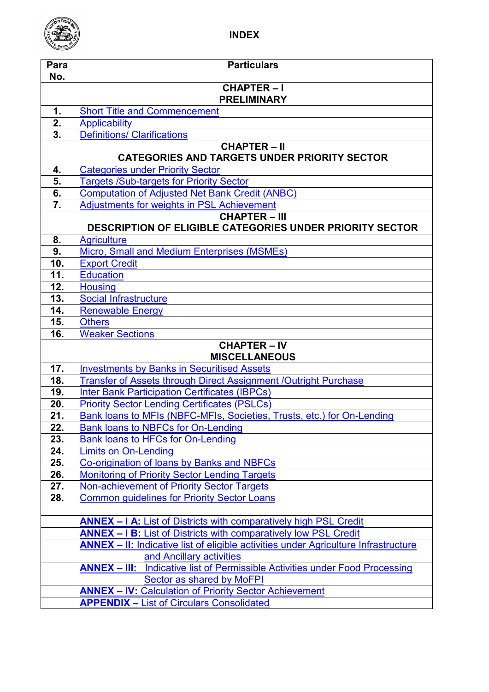

| Para<br>No.               | <b>Particulars</b>                                                                         |  |  |  |  |
|---------------------------|--------------------------------------------------------------------------------------------|--|--|--|--|
|                           | <b>CHAPTER-I</b>                                                                           |  |  |  |  |
|                           | <b>PRELIMINARY</b>                                                                         |  |  |  |  |
| 1.                        | <b>Short Title and Commencement</b>                                                        |  |  |  |  |
| 2.                        | <b>Applicability</b>                                                                       |  |  |  |  |
| $\overline{\mathbf{3}}$ . | <b>Definitions/ Clarifications</b>                                                         |  |  |  |  |
|                           | <b>CHAPTER-II</b>                                                                          |  |  |  |  |
|                           | <b>CATEGORIES AND TARGETS UNDER PRIORITY SECTOR</b>                                        |  |  |  |  |
| 4.                        | <b>Categories under Priority Sector</b>                                                    |  |  |  |  |
| 5.                        | <b>Targets /Sub-targets for Priority Sector</b>                                            |  |  |  |  |
| 6.                        | <b>Computation of Adjusted Net Bank Credit (ANBC)</b>                                      |  |  |  |  |
| 7.                        | <b>Adjustments for weights in PSL Achievement</b>                                          |  |  |  |  |
|                           | <b>CHAPTER - III</b>                                                                       |  |  |  |  |
|                           | <b>DESCRIPTION OF ELIGIBLE CATEGORIES UNDER PRIORITY SECTOR</b>                            |  |  |  |  |
| 8.                        | <b>Agriculture</b>                                                                         |  |  |  |  |
| 9.                        | Micro, Small and Medium Enterprises (MSMEs)                                                |  |  |  |  |
| 10.<br>11.                | <b>Export Credit</b><br><b>Education</b>                                                   |  |  |  |  |
| 12.                       | <b>Housing</b>                                                                             |  |  |  |  |
| 13.                       | <b>Social Infrastructure</b>                                                               |  |  |  |  |
| 14.                       | <b>Renewable Energy</b>                                                                    |  |  |  |  |
| 15.                       | <b>Others</b>                                                                              |  |  |  |  |
| 16.                       | <b>Weaker Sections</b>                                                                     |  |  |  |  |
|                           | <b>CHAPTER – <math>\overline{IV}</math></b>                                                |  |  |  |  |
|                           | <b>MISCELLANEOUS</b>                                                                       |  |  |  |  |
| 17.                       | <b>Investments by Banks in Securitised Assets</b>                                          |  |  |  |  |
| 18.                       | <b>Transfer of Assets through Direct Assignment /Outright Purchase</b>                     |  |  |  |  |
| 19.                       | <b>Inter Bank Participation Certificates (IBPCs)</b>                                       |  |  |  |  |
| 20.                       | <b>Priority Sector Lending Certificates (PSLCs)</b>                                        |  |  |  |  |
| 21.                       | Bank loans to MFIs (NBFC-MFIs, Societies, Trusts, etc.) for On-Lending                     |  |  |  |  |
| 22.                       | <b>Bank loans to NBFCs for On-Lending</b>                                                  |  |  |  |  |
| 23.                       | Bank loans to HFCs for On-Lending                                                          |  |  |  |  |
| 24.                       | <b>Limits on On-Lending</b>                                                                |  |  |  |  |
| 25.                       | Co-origination of loans by Banks and NBFCs                                                 |  |  |  |  |
| 26.                       | <b>Monitoring of Priority Sector Lending Targets</b>                                       |  |  |  |  |
| 27.                       | Non-achievement of Priority Sector Targets                                                 |  |  |  |  |
| 28.                       | <b>Common guidelines for Priority Sector Loans</b>                                         |  |  |  |  |
|                           | <b>ANNEX - I A: List of Districts with comparatively high PSL Credit</b>                   |  |  |  |  |
|                           | <b>ANNEX - I B:</b> List of Districts with comparatively low PSL Credit                    |  |  |  |  |
|                           | <b>ANNEX - II:</b> Indicative list of eligible activities under Agriculture Infrastructure |  |  |  |  |
|                           | and Ancillary activities                                                                   |  |  |  |  |
|                           | <b>ANNEX - III:</b> Indicative list of Permissible Activities under Food Processing        |  |  |  |  |
|                           | Sector as shared by MoFPI                                                                  |  |  |  |  |
|                           | <b>ANNEX - IV: Calculation of Priority Sector Achievement</b>                              |  |  |  |  |
|                           | <b>APPENDIX - List of Circulars Consolidated</b>                                           |  |  |  |  |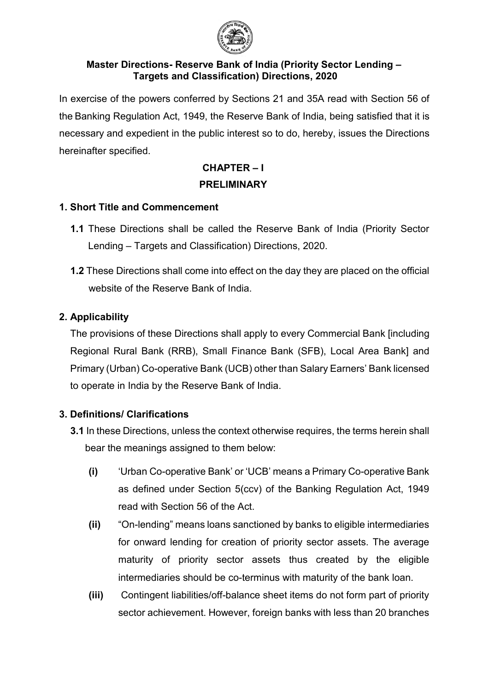

#### **Master Directions- Reserve Bank of India (Priority Sector Lending – Targets and Classification) Directions, 2020**

In exercise of the powers conferred by Sections 21 and 35A read with Section 56 of the Banking Regulation Act, 1949, the Reserve Bank of India, being satisfied that it is necessary and expedient in the public interest so to do, hereby, issues the Directions hereinafter specified.

# **CHAPTER – I PRELIMINARY**

## <span id="page-2-0"></span>**1. Short Title and Commencement**

- **1.1** These Directions shall be called the Reserve Bank of India (Priority Sector Lending – Targets and Classification) Directions, 2020.
- **1.2** These Directions shall come into effect on the day they are placed on the official website of the Reserve Bank of India.

# <span id="page-2-1"></span>**2. Applicability**

The provisions of these Directions shall apply to every Commercial Bank [including Regional Rural Bank (RRB), Small Finance Bank (SFB), Local Area Bank] and Primary (Urban) Co-operative Bank (UCB) other than Salary Earners' Bank licensed to operate in India by the Reserve Bank of India.

# <span id="page-2-2"></span>**3. Definitions/ Clarifications**

- **3.1** In these Directions, unless the context otherwise requires, the terms herein shall bear the meanings assigned to them below:
	- **(i)** 'Urban Co-operative Bank' or 'UCB' means a Primary Co-operative Bank as defined under Section 5(ccv) of the Banking Regulation Act, 1949 read with Section 56 of the Act.
	- **(ii)** "On-lending" means loans sanctioned by banks to eligible intermediaries for onward lending for creation of priority sector assets. The average maturity of priority sector assets thus created by the eligible intermediaries should be co-terminus with maturity of the bank loan.
	- **(iii)** Contingent liabilities/off-balance sheet items do not form part of priority sector achievement. However, foreign banks with less than 20 branches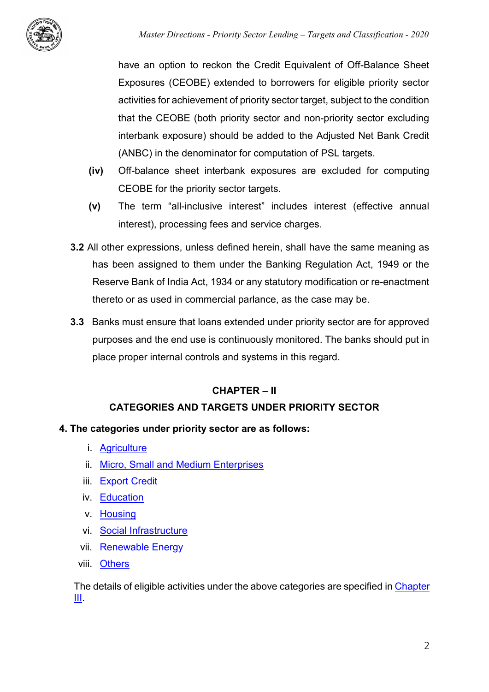

have an option to reckon the Credit Equivalent of Off-Balance Sheet Exposures (CEOBE) extended to borrowers for eligible priority sector activities for achievement of priority sector target, subject to the condition that the CEOBE (both priority sector and non-priority sector excluding interbank exposure) should be added to the Adjusted Net Bank Credit (ANBC) in the denominator for computation of PSL targets.

- **(iv)** Off-balance sheet interbank exposures are excluded for computing CEOBE for the priority sector targets.
- **(v)** The term "all-inclusive interest" includes interest (effective annual interest), processing fees and service charges.
- **3.2** All other expressions, unless defined herein, shall have the same meaning as has been assigned to them under the Banking Regulation Act, 1949 or the Reserve Bank of India Act, 1934 or any statutory modification or re-enactment thereto or as used in commercial parlance, as the case may be.
- **3.3** Banks must ensure that loans extended under priority sector are for approved purposes and the end use is continuously monitored. The banks should put in place proper internal controls and systems in this regard.

# **CHAPTER – II**

# **CATEGORIES AND TARGETS UNDER PRIORITY SECTOR**

## <span id="page-3-0"></span>**4. The categories under priority sector are as follows:**

- i. [Agriculture](#page-7-1)
- ii. [Micro, Small and Medium Enterprises](#page-11-0)
- iii. [Export Credit](#page-13-0)
- iv. [Education](#page-13-1)
- v. [Housing](#page-13-2)
- vi. [Social Infrastructure](#page-14-0)
- vii. [Renewable Energy](#page-15-0)
- viii. [Others](#page-15-1)

The details of eligible activities under the above categories are specified i[n Chapter](#page-7-2)  [III.](#page-7-2)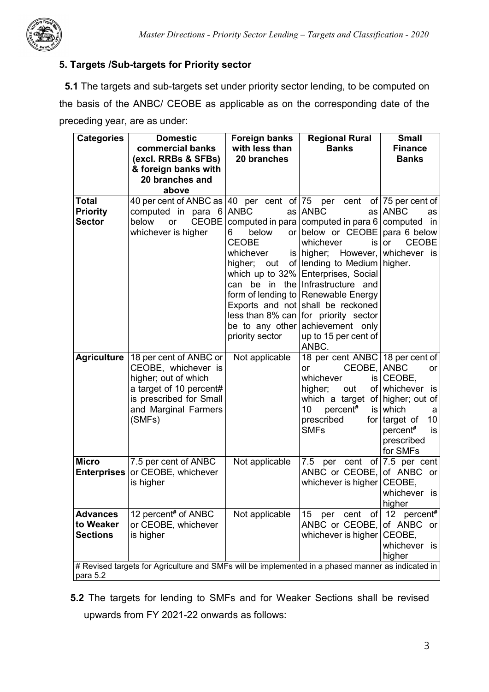

# <span id="page-4-0"></span>**5. Targets /Sub-targets for Priority sector**

**5.1** The targets and sub-targets set under priority sector lending, to be computed on the basis of the ANBC/ CEOBE as applicable as on the corresponding date of the preceding year, are as under:

| <b>Categories</b>                                                                                             | <b>Domestic</b><br>commercial banks<br>(excl. RRBs & SFBs)<br>& foreign banks with<br>20 branches and<br>above                                                | <b>Foreign banks</b><br>with less than<br>20 branches                                                        | <b>Regional Rural</b><br><b>Banks</b>                                                                                                                                                                                                                                                                                                                                                                                                          | <b>Small</b><br><b>Finance</b><br><b>Banks</b>                                                                                                          |
|---------------------------------------------------------------------------------------------------------------|---------------------------------------------------------------------------------------------------------------------------------------------------------------|--------------------------------------------------------------------------------------------------------------|------------------------------------------------------------------------------------------------------------------------------------------------------------------------------------------------------------------------------------------------------------------------------------------------------------------------------------------------------------------------------------------------------------------------------------------------|---------------------------------------------------------------------------------------------------------------------------------------------------------|
| <b>Total</b><br><b>Priority</b><br><b>Sector</b>                                                              | 40 per cent of ANBC as 40 per cent of 75 per<br>computed in para 6<br><b>CEOBE</b><br>below<br><b>or</b><br>whichever is higher                               | <b>ANBC</b><br>below<br>6.<br><b>CEOBE</b><br>whichever<br>higher; out<br>be to any other<br>priority sector | cent<br>as ANBC<br>as I<br>computed in para computed in para $6$ computed in<br>or below or CEOBE<br>whichever<br>is l<br>is higher; However, whichever is<br>of lending to Medium higher.<br>which up to 32% Enterprises, Social<br>can be in the Infrastructure and<br>form of lending to Renewable Energy<br>Exports and not shall be reckoned<br>less than 8% can for priority sector<br>achievement only<br>up to 15 per cent of<br>ANBC. | of $ 75$ per cent of<br><b>ANBC</b><br>as<br>para 6 below<br><b>CEOBE</b><br><b>or</b>                                                                  |
| <b>Agriculture</b>                                                                                            | 18 per cent of ANBC or<br>CEOBE, whichever is<br>higher; out of which<br>a target of 10 percent#<br>is prescribed for Small<br>and Marginal Farmers<br>(SMFs) | Not applicable                                                                                               | 18 per cent ANBC 18 per cent of<br>CEOBE, ANBC<br>or<br>whichever<br>higher;<br>out<br>which a target<br>10<br>percent#<br>prescribed<br><b>SMFs</b>                                                                                                                                                                                                                                                                                           | <b>or</b><br>$is$ CEOBE,<br>of whichever<br>is<br>of higher; out of<br>is which<br>a<br>for target of<br>10<br>percent#<br>is<br>prescribed<br>for SMFs |
| <b>Micro</b><br><b>Enterprises</b>                                                                            | 7.5 per cent of ANBC<br>or CEOBE, whichever<br>is higher                                                                                                      | Not applicable                                                                                               | per cent of $7.5$ per cent<br>7.5<br>ANBC or CEOBE,<br>whichever is higher                                                                                                                                                                                                                                                                                                                                                                     | of ANBC or<br>CEOBE,<br>whichever is<br>higher                                                                                                          |
| <b>Advances</b><br>to Weaker<br><b>Sections</b>                                                               | 12 percent# of ANBC<br>or CEOBE, whichever<br>is higher                                                                                                       | Not applicable                                                                                               | 15<br>cent<br>of<br>per<br>ANBC or CEOBE,<br>whichever is higher                                                                                                                                                                                                                                                                                                                                                                               | percent <sup>#</sup><br>12<br>of ANBC or<br>CEOBE,<br>whichever<br>is<br>higher                                                                         |
| # Revised targets for Agriculture and SMFs will be implemented in a phased manner as indicated in<br>para 5.2 |                                                                                                                                                               |                                                                                                              |                                                                                                                                                                                                                                                                                                                                                                                                                                                |                                                                                                                                                         |

**5.2** The targets for lending to SMFs and for Weaker Sections shall be revised upwards from FY 2021-22 onwards as follows: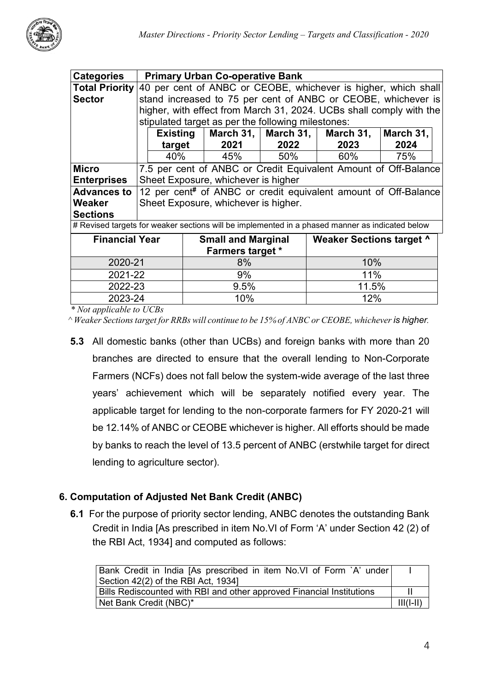

| <b>Categories</b>                                                                                 | <b>Primary Urban Co-operative Bank</b>                          |                                      |                         |                                                    |       |                                                                     |           |
|---------------------------------------------------------------------------------------------------|-----------------------------------------------------------------|--------------------------------------|-------------------------|----------------------------------------------------|-------|---------------------------------------------------------------------|-----------|
| <b>Total Priority</b>                                                                             |                                                                 |                                      |                         |                                                    |       | 40 per cent of ANBC or CEOBE, whichever is higher, which shall      |           |
| <b>Sector</b>                                                                                     |                                                                 |                                      |                         |                                                    |       | stand increased to 75 per cent of ANBC or CEOBE, whichever is       |           |
|                                                                                                   |                                                                 |                                      |                         |                                                    |       | higher, with effect from March 31, 2024. UCBs shall comply with the |           |
|                                                                                                   |                                                                 |                                      |                         | stipulated target as per the following milestones: |       |                                                                     |           |
|                                                                                                   |                                                                 | Existing                             |                         | March 31,   March 31,                              |       | March 31,                                                           | March 31, |
|                                                                                                   |                                                                 | target                               |                         | 2021                                               | 2022  | 2023                                                                | 2024      |
|                                                                                                   |                                                                 | 40%                                  |                         | 45%                                                | 50%   | 60%                                                                 | 75%       |
| <b>Micro</b>                                                                                      | 7.5 per cent of ANBC or Credit Equivalent Amount of Off-Balance |                                      |                         |                                                    |       |                                                                     |           |
| <b>Enterprises</b>                                                                                | Sheet Exposure, whichever is higher                             |                                      |                         |                                                    |       |                                                                     |           |
| 12 per cent <sup>#</sup> of ANBC or credit equivalent amount of Off-Balance<br><b>Advances to</b> |                                                                 |                                      |                         |                                                    |       |                                                                     |           |
| Weaker                                                                                            |                                                                 | Sheet Exposure, whichever is higher. |                         |                                                    |       |                                                                     |           |
| <b>Sections</b>                                                                                   |                                                                 |                                      |                         |                                                    |       |                                                                     |           |
| # Revised targets for weaker sections will be implemented in a phased manner as indicated below   |                                                                 |                                      |                         |                                                    |       |                                                                     |           |
| <b>Financial Year</b>                                                                             |                                                                 |                                      |                         | <b>Small and Marginal</b>                          |       | <b>Weaker Sections target ^</b>                                     |           |
|                                                                                                   |                                                                 |                                      | <b>Farmers target *</b> |                                                    |       |                                                                     |           |
| 2020-21                                                                                           |                                                                 |                                      | 8%                      |                                                    | 10%   |                                                                     |           |
| 2021-22                                                                                           |                                                                 |                                      | 9%                      |                                                    | 11%   |                                                                     |           |
| 2022-23                                                                                           |                                                                 |                                      | 9.5%                    |                                                    | 11.5% |                                                                     |           |
| 2023-24                                                                                           |                                                                 |                                      | 10%                     |                                                    | 12%   |                                                                     |           |

 *\* Not applicable to UCBs*

 *^ Weaker Sections target for RRBs will continue to be 15% of ANBC or CEOBE, whichever is higher.*

**5.3** All domestic banks (other than UCBs) and foreign banks with more than 20 branches are directed to ensure that the overall lending to Non-Corporate Farmers (NCFs) does not fall below the system-wide average of the last three years' achievement which will be separately notified every year. The applicable target for lending to the non-corporate farmers for FY 2020-21 will be 12.14% of ANBC or CEOBE whichever is higher. All efforts should be made by banks to reach the level of 13.5 percent of ANBC (erstwhile target for direct lending to agriculture sector).

## <span id="page-5-0"></span>**6. Computation of Adjusted Net Bank Credit (ANBC)**

**6.1** For the purpose of priority sector lending, ANBC denotes the outstanding Bank Credit in India [As prescribed in item No.VI of Form 'A' under Section 42 (2) of the RBI Act, 1934] and computed as follows:

| Bank Credit in India [As prescribed in item No.VI of Form `A' under   |  |  |
|-----------------------------------------------------------------------|--|--|
| Section 42(2) of the RBI Act, 1934]                                   |  |  |
| Bills Rediscounted with RBI and other approved Financial Institutions |  |  |
| Net Bank Credit (NBC)*                                                |  |  |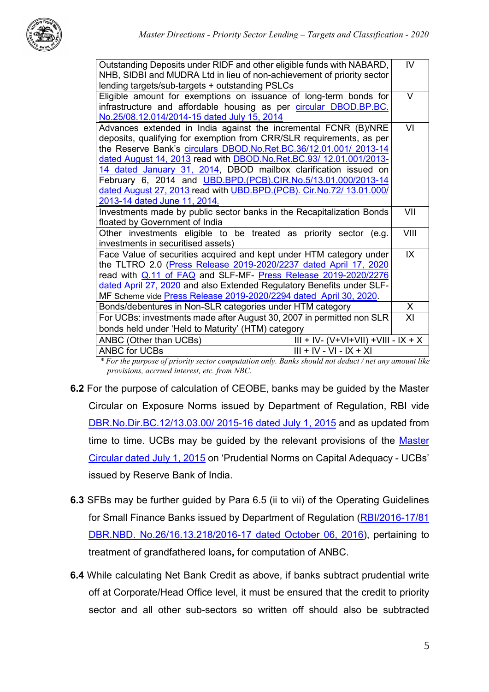

| Outstanding Deposits under RIDF and other eligible funds with NABARD,  | IV   |
|------------------------------------------------------------------------|------|
| NHB, SIDBI and MUDRA Ltd in lieu of non-achievement of priority sector |      |
| lending targets/sub-targets + outstanding PSLCs                        |      |
| Eligible amount for exemptions on issuance of long-term bonds for      | V    |
| infrastructure and affordable housing as per circular DBOD.BP.BC.      |      |
| No.25/08.12.014/2014-15 dated July 15, 2014                            |      |
| Advances extended in India against the incremental FCNR (B)/NRE        | VI   |
| deposits, qualifying for exemption from CRR/SLR requirements, as per   |      |
| the Reserve Bank's circulars DBOD.No.Ret.BC.36/12.01.001/ 2013-14      |      |
| dated August 14, 2013 read with DBOD.No.Ret.BC.93/ 12.01.001/2013-     |      |
| 14 dated January 31, 2014, DBOD mailbox clarification issued on        |      |
| February 6, 2014 and UBD.BPD.(PCB).CIR.No.5/13.01.000/2013-14          |      |
| dated August 27, 2013 read with UBD.BPD.(PCB). Cir.No.72/ 13.01.000/   |      |
| 2013-14 dated June 11, 2014.                                           |      |
| Investments made by public sector banks in the Recapitalization Bonds  | VII  |
| floated by Government of India                                         |      |
| Other investments eligible to be treated as priority sector (e.g.      | VIII |
| investments in securitised assets)                                     |      |
| Face Value of securities acquired and kept under HTM category under    | IX   |
| the TLTRO 2.0 (Press Release 2019-2020/2237 dated April 17, 2020       |      |
| read with Q.11 of FAQ and SLF-MF- Press Release 2019-2020/2276         |      |
| dated April 27, 2020 and also Extended Regulatory Benefits under SLF-  |      |
| MF Scheme vide Press Release 2019-2020/2294 dated April 30, 2020.      |      |
| Bonds/debentures in Non-SLR categories under HTM category              | X.   |
| For UCBs: investments made after August 30, 2007 in permitted non SLR  | XI   |
| bonds held under 'Held to Maturity' (HTM) category                     |      |
| ANBC (Other than UCBs)<br>$III + IV - (V+VI+VII) + VIII - IX + X$      |      |
| <b>ANBC for UCBs</b><br>$III + IV - VI - IX + XI$                      |      |
|                                                                        |      |

*\* For the purpose of priority sector computation only. Banks should not deduct / net any amount like provisions, accrued interest, etc. from NBC.*

- **6.2** For the purpose of calculation of CEOBE, banks may be guided by the Master Circular on Exposure Norms issued by Department of Regulation, RBI vide [DBR.No.Dir.BC.12/13.03.00/](https://rbi.org.in/Scripts/BS_ViewMasCirculardetails.aspx?id=9875) 2015-16 dated July 1, 2015 and as updated from time to time. UCBs may be guided by the relevant provisions of the Master [Circular dated July 1, 2015](https://www.rbi.org.in/Scripts/BS_ViewMasCirculardetails.aspx?id=9816) on 'Prudential Norms on Capital Adequacy - UCBs' issued by Reserve Bank of India.
- **6.3** SFBs may be further guided by Para 6.5 (ii to vii) of the Operating Guidelines for Small Finance Banks issued by Department of Regulation [\(RBI/2016-17/81](https://www.rbi.org.in/Scripts/NotificationUser.aspx?Id=10636&Mode=0)  [DBR.NBD. No.26/16.13.218/2016-17 dated October 06, 2016\)](https://www.rbi.org.in/Scripts/NotificationUser.aspx?Id=10636&Mode=0), pertaining to treatment of grandfathered loans**,** for computation of ANBC.
- **6.4** While calculating Net Bank Credit as above, if banks subtract prudential write off at Corporate/Head Office level, it must be ensured that the credit to priority sector and all other sub-sectors so written off should also be subtracted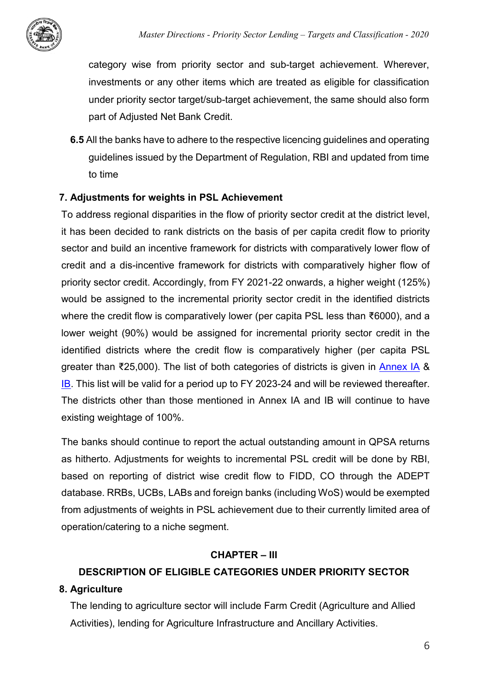

category wise from priority sector and sub-target achievement. Wherever, investments or any other items which are treated as eligible for classification under priority sector target/sub-target achievement, the same should also form part of Adjusted Net Bank Credit.

**6.5** All the banks have to adhere to the respective licencing guidelines and operating guidelines issued by the Department of Regulation, RBI and updated from time to time

#### <span id="page-7-0"></span>**7. Adjustments for weights in PSL Achievement**

To address regional disparities in the flow of priority sector credit at the district level, it has been decided to rank districts on the basis of per capita credit flow to priority sector and build an incentive framework for districts with comparatively lower flow of credit and a dis-incentive framework for districts with comparatively higher flow of priority sector credit. Accordingly, from FY 2021-22 onwards, a higher weight (125%) would be assigned to the incremental priority sector credit in the identified districts where the credit flow is comparatively lower (per capita PSL less than ₹6000), and a lower weight (90%) would be assigned for incremental priority sector credit in the identified districts where the credit flow is comparatively higher (per capita PSL greater than ₹25,000). The list of both categories of districts is given in [Annex IA](#page-23-1) & [IB.](#page-28-0) This list will be valid for a period up to FY 2023-24 and will be reviewed thereafter. The districts other than those mentioned in Annex IA and IB will continue to have existing weightage of 100%.

The banks should continue to report the actual outstanding amount in QPSA returns as hitherto. Adjustments for weights to incremental PSL credit will be done by RBI, based on reporting of district wise credit flow to FIDD, CO through the ADEPT database. RRBs, UCBs, LABs and foreign banks (including WoS) would be exempted from adjustments of weights in PSL achievement due to their currently limited area of operation/catering to a niche segment.

## **CHAPTER – III**

# <span id="page-7-2"></span>**DESCRIPTION OF ELIGIBLE CATEGORIES UNDER PRIORITY SECTOR**

## <span id="page-7-1"></span>**8. Agriculture**

The lending to agriculture sector will include Farm Credit (Agriculture and Allied Activities), lending for Agriculture Infrastructure and Ancillary Activities.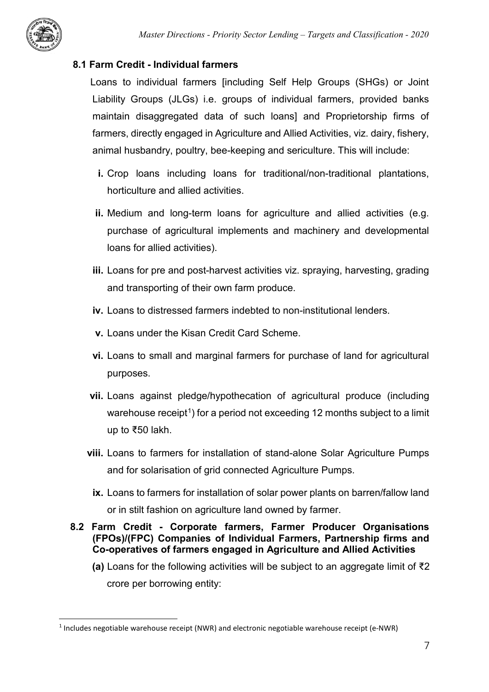

# **8.1 Farm Credit - Individual farmers**

 Loans to individual farmers [including Self Help Groups (SHGs) or Joint Liability Groups (JLGs) i.e. groups of individual farmers, provided banks maintain disaggregated data of such loans] and Proprietorship firms of farmers, directly engaged in Agriculture and Allied Activities, viz. dairy, fishery, animal husbandry, poultry, bee-keeping and sericulture. This will include:

- **i.** Crop loans including loans for traditional/non-traditional plantations, horticulture and allied activities.
- **ii.** Medium and long-term loans for agriculture and allied activities (e.g. purchase of agricultural implements and machinery and developmental loans for allied activities).
- **iii.** Loans for pre and post-harvest activities viz. spraying, harvesting, grading and transporting of their own farm produce.
- **iv.** Loans to distressed farmers indebted to non-institutional lenders.
- **v.** Loans under the Kisan Credit Card Scheme.
- **vi.** Loans to small and marginal farmers for purchase of land for agricultural purposes.
- **vii.** Loans against pledge/hypothecation of agricultural produce (including warehouse receipt<sup>[1](#page-8-0)</sup>) for a period not exceeding 12 months subject to a limit up to ₹50 lakh.
- **viii.** Loans to farmers for installation of stand-alone Solar Agriculture Pumps and for solarisation of grid connected Agriculture Pumps.
	- **ix.** Loans to farmers for installation of solar power plants on barren/fallow land or in stilt fashion on agriculture land owned by farmer.

#### **8.2 Farm Credit - Corporate farmers, Farmer Producer Organisations (FPOs)/(FPC) Companies of Individual Farmers, Partnership firms and Co-operatives of farmers engaged in Agriculture and Allied Activities**

**(a)** Loans for the following activities will be subject to an aggregate limit of ₹2 crore per borrowing entity:

<span id="page-8-0"></span> <sup>1</sup> Includes negotiable warehouse receipt (NWR) and electronic negotiable warehouse receipt (e-NWR)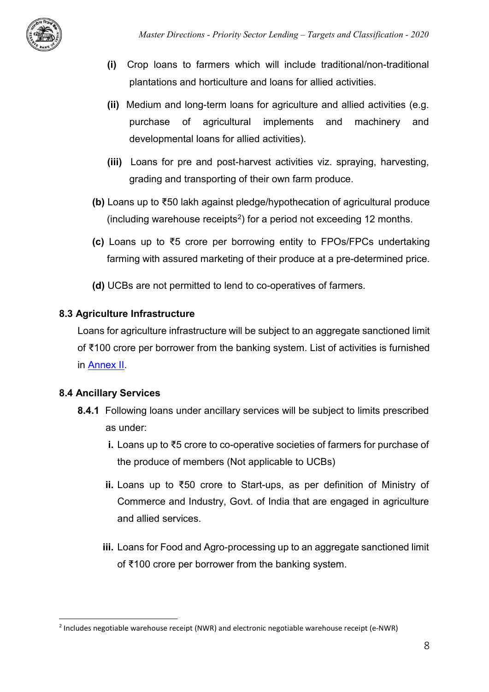

- **(i)** Crop loans to farmers which will include traditional/non-traditional plantations and horticulture and loans for allied activities.
- **(ii)** Medium and long-term loans for agriculture and allied activities (e.g. purchase of agricultural implements and machinery and developmental loans for allied activities).
- **(iii)** Loans for pre and post-harvest activities viz. spraying, harvesting, grading and transporting of their own farm produce.
- **(b)** Loans up to ₹50 lakh against pledge/hypothecation of agricultural produce (including warehouse receipts<sup>[2](#page-9-0)</sup>) for a period not exceeding 12 months.
- **(c)** Loans up to ₹5 crore per borrowing entity to FPOs/FPCs undertaking farming with assured marketing of their produce at a pre-determined price.
- **(d)** UCBs are not permitted to lend to co-operatives of farmers.

## **8.3 Agriculture Infrastructure**

Loans for agriculture infrastructure will be subject to an aggregate sanctioned limit of ₹100 crore per borrower from the banking system. List of activities is furnished in [Annex II.](#page-32-0)

## **8.4 Ancillary Services**

- **8.4.1** Following loans under ancillary services will be subject to limits prescribed as under:
	- **i.** Loans up to ₹5 crore to co-operative societies of farmers for purchase of the produce of members (Not applicable to UCBs)
	- **ii.** Loans up to ₹50 crore to Start-ups, as per definition of Ministry of Commerce and Industry, Govt. of India that are engaged in agriculture and allied services.
	- **iii.** Loans for Food and Agro-processing up to an aggregate sanctioned limit of ₹100 crore per borrower from the banking system.

<span id="page-9-0"></span> <sup>2</sup> Includes negotiable warehouse receipt (NWR) and electronic negotiable warehouse receipt (e-NWR)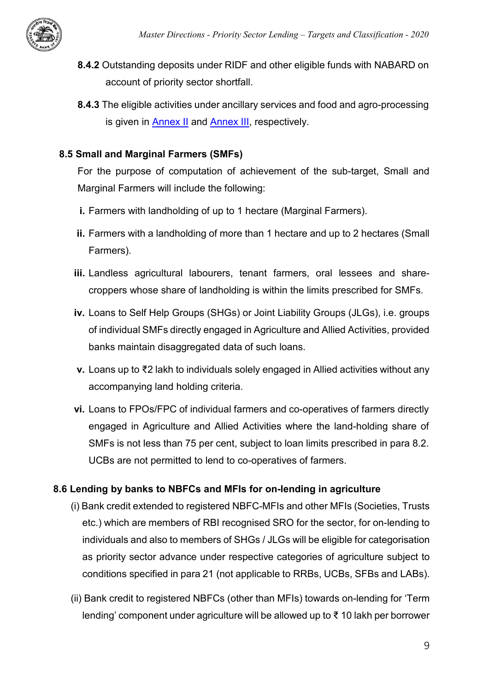

- **8.4.2** Outstanding deposits under RIDF and other eligible funds with NABARD on account of priority sector shortfall.
- **8.4.3** The eligible activities under ancillary services and food and agro-processing is given in [Annex II](#page-32-1) and [Annex III,](#page-33-1) respectively.

# **8.5 Small and Marginal Farmers (SMFs)**

For the purpose of computation of achievement of the sub-target, Small and Marginal Farmers will include the following:

- **i.** Farmers with landholding of up to 1 hectare (Marginal Farmers).
- **ii.** Farmers with a landholding of more than 1 hectare and up to 2 hectares (Small Farmers).
- **iii.** Landless agricultural labourers, tenant farmers, oral lessees and sharecroppers whose share of landholding is within the limits prescribed for SMFs.
- **iv.** Loans to Self Help Groups (SHGs) or Joint Liability Groups (JLGs), i.e. groups of individual SMFs directly engaged in Agriculture and Allied Activities, provided banks maintain disaggregated data of such loans.
- **v.** Loans up to ₹2 lakh to individuals solely engaged in Allied activities without any accompanying land holding criteria.
- **vi.** Loans to FPOs/FPC of individual farmers and co-operatives of farmers directly engaged in Agriculture and Allied Activities where the land-holding share of SMFs is not less than 75 per cent, subject to loan limits prescribed in para 8.2. UCBs are not permitted to lend to co-operatives of farmers.

# **8.6 Lending by banks to NBFCs and MFIs for on-lending in agriculture**

- (i) Bank credit extended to registered NBFC-MFIs and other MFIs (Societies, Trusts etc.) which are members of RBI recognised SRO for the sector, for on-lending to individuals and also to members of SHGs / JLGs will be eligible for categorisation as priority sector advance under respective categories of agriculture subject to conditions specified in para 21 (not applicable to RRBs, UCBs, SFBs and LABs).
- (ii) Bank credit to registered NBFCs (other than MFIs) towards on-lending for 'Term lending' component under agriculture will be allowed up to ₹ 10 lakh per borrower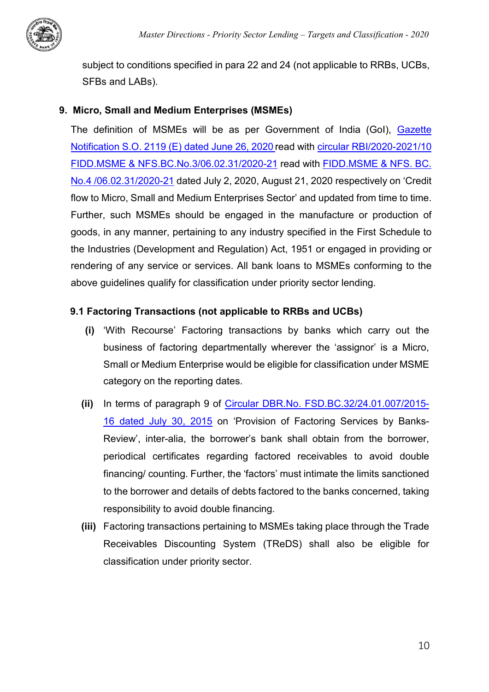

subject to conditions specified in para 22 and 24 (not applicable to RRBs, UCBs, SFBs and LABs).

#### <span id="page-11-0"></span>**9. Micro, Small and Medium Enterprises (MSMEs)**

The definition of MSMEs will be as per Government of India (GoI), [Gazette](https://rbidocs.rbi.org.in/rdocs/content/pdfs/IndianGazzate02072020.pdf)  [Notification S.O. 2119 \(E\) dated June 26, 2020](https://rbidocs.rbi.org.in/rdocs/content/pdfs/IndianGazzate02072020.pdf) read with [circular RBI/2020-2021/10](https://www.rbi.org.in/Scripts/NotificationUser.aspx?Id=11934&Mode=0)  [FIDD.MSME & NFS.BC.No.3/06.02.31/2020-21](https://www.rbi.org.in/Scripts/NotificationUser.aspx?Id=11934&Mode=0) read with [FIDD.MSME & NFS. BC.](https://www.rbi.org.in/Scripts/BS_CircularIndexDisplay.aspx?Id=11951)  [No.4 /06.02.31/2020-21](https://www.rbi.org.in/Scripts/BS_CircularIndexDisplay.aspx?Id=11951) dated July 2, 2020, August 21, 2020 respectively on 'Credit flow to Micro, Small and Medium Enterprises Sector' and updated from time to time. Further, such MSMEs should be engaged in the manufacture or production of goods, in any manner, pertaining to any industry specified in the First Schedule to the Industries (Development and Regulation) Act, 1951 or engaged in providing or rendering of any service or services. All bank loans to MSMEs conforming to the above guidelines qualify for classification under priority sector lending.

#### **9.1 Factoring Transactions (not applicable to RRBs and UCBs)**

- **(i)** 'With Recourse' Factoring transactions by banks which carry out the business of factoring departmentally wherever the 'assignor' is a Micro, Small or Medium Enterprise would be eligible for classification under MSME category on the reporting dates.
- **(ii)** In terms of paragraph 9 of [Circular DBR.No. FSD.BC.32/24.01.007/2015-](https://www.rbi.org.in/Scripts/NotificationUser.aspx?Id=9965&Mode=0) [16 dated July 30, 2015](https://www.rbi.org.in/Scripts/NotificationUser.aspx?Id=9965&Mode=0) on 'Provision of Factoring Services by Banks-Review', inter-alia, the borrower's bank shall obtain from the borrower, periodical certificates regarding factored receivables to avoid double financing/ counting. Further, the 'factors' must intimate the limits sanctioned to the borrower and details of debts factored to the banks concerned, taking responsibility to avoid double financing.
- **(iii)** Factoring transactions pertaining to MSMEs taking place through the Trade Receivables Discounting System (TReDS) shall also be eligible for classification under priority sector.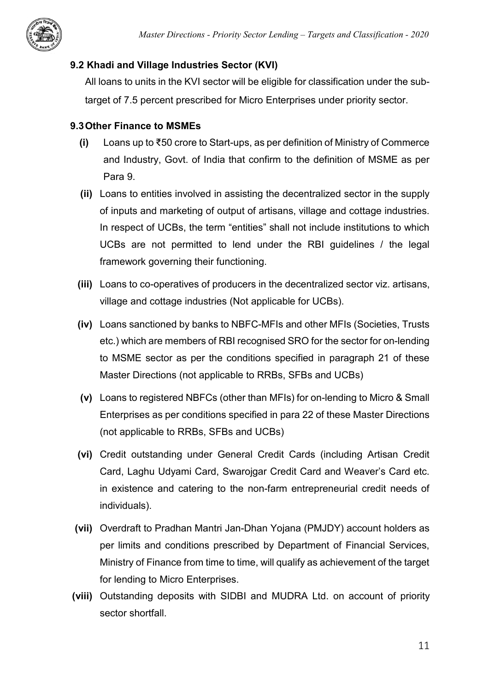

# **9.2 Khadi and Village Industries Sector (KVI)**

All loans to units in the KVI sector will be eligible for classification under the subtarget of 7.5 percent prescribed for Micro Enterprises under priority sector.

# **9.3Other Finance to MSMEs**

- **(i)** Loans up to ₹50 crore to Start-ups, as per definition of Ministry of Commerce and Industry, Govt. of India that confirm to the definition of MSME as per Para 9.
- **(ii)** Loans to entities involved in assisting the decentralized sector in the supply of inputs and marketing of output of artisans, village and cottage industries. In respect of UCBs, the term "entities" shall not include institutions to which UCBs are not permitted to lend under the RBI guidelines / the legal framework governing their functioning.
- **(iii)** Loans to co-operatives of producers in the decentralized sector viz. artisans, village and cottage industries (Not applicable for UCBs).
- **(iv)** Loans sanctioned by banks to NBFC-MFIs and other MFIs (Societies, Trusts etc.) which are members of RBI recognised SRO for the sector for on-lending to MSME sector as per the conditions specified in paragraph 21 of these Master Directions (not applicable to RRBs, SFBs and UCBs)
- **(v)** Loans to registered NBFCs (other than MFIs) for on-lending to Micro & Small Enterprises as per conditions specified in para 22 of these Master Directions (not applicable to RRBs, SFBs and UCBs)
- **(vi)** Credit outstanding under General Credit Cards (including Artisan Credit Card, Laghu Udyami Card, Swarojgar Credit Card and Weaver's Card etc. in existence and catering to the non-farm entrepreneurial credit needs of individuals).
- **(vii)** Overdraft to Pradhan Mantri Jan-Dhan Yojana (PMJDY) account holders as per limits and conditions prescribed by Department of Financial Services, Ministry of Finance from time to time, will qualify as achievement of the target for lending to Micro Enterprises.
- **(viii)** Outstanding deposits with SIDBI and MUDRA Ltd. on account of priority sector shortfall.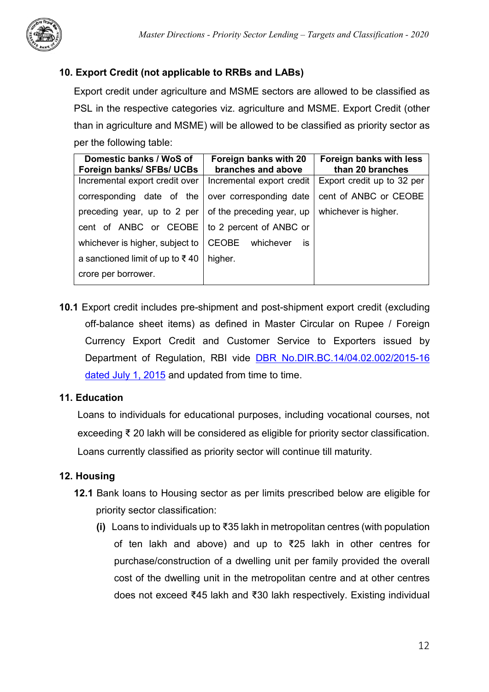

# <span id="page-13-0"></span>**10. Export Credit (not applicable to RRBs and LABs)**

Export credit under agriculture and MSME sectors are allowed to be classified as PSL in the respective categories viz. agriculture and MSME. Export Credit (other than in agriculture and MSME) will be allowed to be classified as priority sector as per the following table:

| Domestic banks / WoS of<br>Foreign banks/ SFBs/ UCBs | Foreign banks with 20<br>branches and above | Foreign banks with less<br>than 20 branches |
|------------------------------------------------------|---------------------------------------------|---------------------------------------------|
| Incremental export credit over                       | Incremental export credit                   | Export credit up to 32 per                  |
| corresponding date of the                            | over corresponding date                     | cent of ANBC or CEOBE                       |
| preceding year, up to 2 per                          | of the preceding year, up                   | whichever is higher.                        |
| cent of ANBC or CEOBE                                | to 2 percent of ANBC or                     |                                             |
| whichever is higher, subject to                      | <b>CEOBE</b><br>whichever<br>İS.            |                                             |
| a sanctioned limit of up to ₹40                      | higher.                                     |                                             |
| crore per borrower.                                  |                                             |                                             |

**10.1** Export credit includes pre-shipment and post-shipment export credit (excluding off-balance sheet items) as defined in Master Circular on Rupee / Foreign Currency Export Credit and Customer Service to Exporters issued by Department of Regulation, RBI vide [DBR No.DIR.BC.14/04.02.002/2015-16](https://www.rbi.org.in/scripts/BS_ViewMasCirculardetails.aspx?id=9852)  [dated July 1, 2015](https://www.rbi.org.in/scripts/BS_ViewMasCirculardetails.aspx?id=9852) and updated from time to time.

#### <span id="page-13-1"></span>**11. Education**

Loans to individuals for educational purposes, including vocational courses, not exceeding ₹ 20 lakh will be considered as eligible for priority sector classification. Loans currently classified as priority sector will continue till maturity.

## <span id="page-13-2"></span>**12. Housing**

- **12.1** Bank loans to Housing sector as per limits prescribed below are eligible for priority sector classification:
	- **(i)** Loans to individuals up to ₹35 lakh in metropolitan centres (with population of ten lakh and above) and up to ₹25 lakh in other centres for purchase/construction of a dwelling unit per family provided the overall cost of the dwelling unit in the metropolitan centre and at other centres does not exceed ₹45 lakh and ₹30 lakh respectively. Existing individual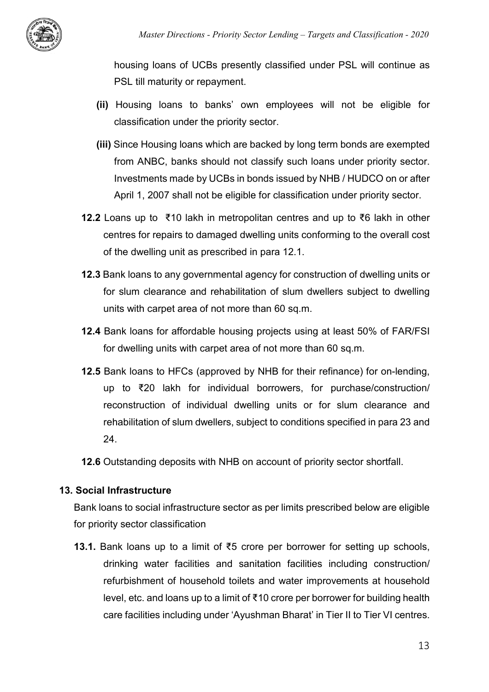

housing loans of UCBs presently classified under PSL will continue as PSL till maturity or repayment.

- **(ii)** Housing loans to banks' own employees will not be eligible for classification under the priority sector.
- **(iii)** Since Housing loans which are backed by long term bonds are exempted from ANBC, banks should not classify such loans under priority sector. Investments made by UCBs in bonds issued by NHB / HUDCO on or after April 1, 2007 shall not be eligible for classification under priority sector.
- **12.2** Loans up to ₹10 lakh in metropolitan centres and up to ₹6 lakh in other centres for repairs to damaged dwelling units conforming to the overall cost of the dwelling unit as prescribed in para 12.1.
- **12.3** Bank loans to any governmental agency for construction of dwelling units or for slum clearance and rehabilitation of slum dwellers subject to dwelling units with carpet area of not more than 60 sq.m.
- **12.4** Bank loans for affordable housing projects using at least 50% of FAR/FSI for dwelling units with carpet area of not more than 60 sq.m.
- **12.5** Bank loans to HFCs (approved by NHB for their refinance) for on-lending, up to ₹20 lakh for individual borrowers, for purchase/construction/ reconstruction of individual dwelling units or for slum clearance and rehabilitation of slum dwellers, subject to conditions specified in para 23 and 24.

**12.6** Outstanding deposits with NHB on account of priority sector shortfall.

## <span id="page-14-0"></span>**13. Social Infrastructure**

Bank loans to social infrastructure sector as per limits prescribed below are eligible for priority sector classification

**13.1.** Bank loans up to a limit of ₹5 crore per borrower for setting up schools, drinking water facilities and sanitation facilities including construction/ refurbishment of household toilets and water improvements at household level, etc. and loans up to a limit of ₹10 crore per borrower for building health care facilities including under 'Ayushman Bharat' in Tier II to Tier VI centres.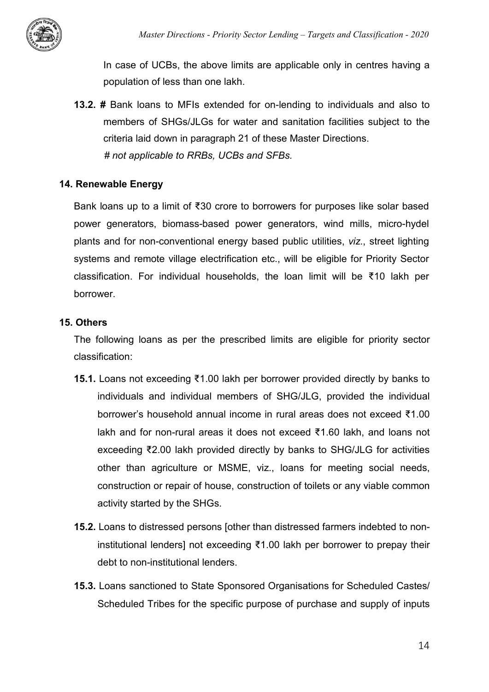In case of UCBs, the above limits are applicable only in centres having a population of less than one lakh.

**13.2. #** Bank loans to MFIs extended for on-lending to individuals and also to members of SHGs/JLGs for water and sanitation facilities subject to the criteria laid down in paragraph 21 of these Master Directions.  *# not applicable to RRBs, UCBs and SFBs.*

#### <span id="page-15-0"></span>**14. Renewable Energy**

Bank loans up to a limit of ₹30 crore to borrowers for purposes like solar based power generators, biomass-based power generators, wind mills, micro-hydel plants and for non-conventional energy based public utilities, *viz*., street lighting systems and remote village electrification etc., will be eligible for Priority Sector classification. For individual households, the loan limit will be ₹10 lakh per borrower.

#### <span id="page-15-1"></span>**15. Others**

The following loans as per the prescribed limits are eligible for priority sector classification:

- **15.1.** Loans not exceeding ₹1.00 lakh per borrower provided directly by banks to individuals and individual members of SHG/JLG, provided the individual borrower's household annual income in rural areas does not exceed ₹1.00 lakh and for non-rural areas it does not exceed ₹1.60 lakh, and loans not exceeding ₹2.00 lakh provided directly by banks to SHG/JLG for activities other than agriculture or MSME, viz., loans for meeting social needs, construction or repair of house, construction of toilets or any viable common activity started by the SHGs.
- **15.2.** Loans to distressed persons [other than distressed farmers indebted to noninstitutional lenders] not exceeding ₹1.00 lakh per borrower to prepay their debt to non-institutional lenders.
- **15.3.** Loans sanctioned to State Sponsored Organisations for Scheduled Castes/ Scheduled Tribes for the specific purpose of purchase and supply of inputs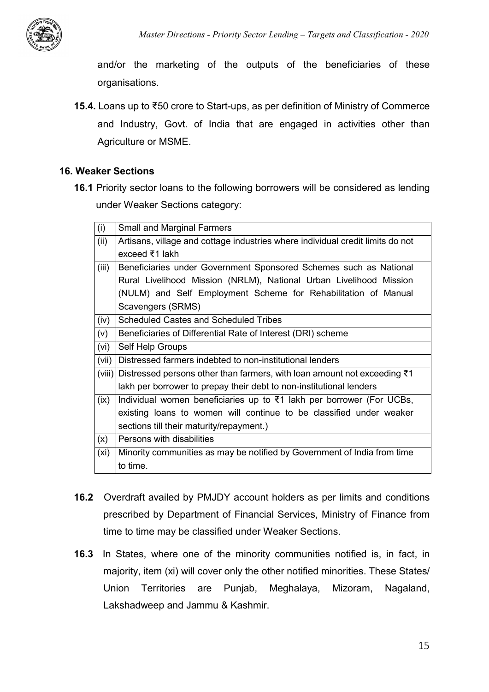

and/or the marketing of the outputs of the beneficiaries of these organisations.

**15.4.** Loans up to ₹50 crore to Start-ups, as per definition of Ministry of Commerce and Industry, Govt. of India that are engaged in activities other than Agriculture or MSME.

#### <span id="page-16-0"></span>**16. Weaker Sections**

**16.1** Priority sector loans to the following borrowers will be considered as lending under Weaker Sections category:

| (i)    | <b>Small and Marginal Farmers</b>                                                    |  |  |  |
|--------|--------------------------------------------------------------------------------------|--|--|--|
| (ii)   | Artisans, village and cottage industries where individual credit limits do not       |  |  |  |
|        | exceed $\bar{z}$ 1 lakh                                                              |  |  |  |
| (iii)  | Beneficiaries under Government Sponsored Schemes such as National                    |  |  |  |
|        | Rural Livelihood Mission (NRLM), National Urban Livelihood Mission                   |  |  |  |
|        | (NULM) and Self Employment Scheme for Rehabilitation of Manual                       |  |  |  |
|        | Scavengers (SRMS)                                                                    |  |  |  |
| (iv)   | Scheduled Castes and Scheduled Tribes                                                |  |  |  |
| (v)    | Beneficiaries of Differential Rate of Interest (DRI) scheme                          |  |  |  |
| (vi)   | Self Help Groups                                                                     |  |  |  |
| (vii)  | Distressed farmers indebted to non-institutional lenders                             |  |  |  |
| (viii) | Distressed persons other than farmers, with loan amount not exceeding $\bar{\tau}$ 1 |  |  |  |
|        | lakh per borrower to prepay their debt to non-institutional lenders                  |  |  |  |
| (ix)   | Individual women beneficiaries up to ₹1 lakh per borrower (For UCBs,                 |  |  |  |
|        | existing loans to women will continue to be classified under weaker                  |  |  |  |
|        | sections till their maturity/repayment.)                                             |  |  |  |
| (x)    | Persons with disabilities                                                            |  |  |  |
| (xi)   | Minority communities as may be notified by Government of India from time             |  |  |  |
|        | to time.                                                                             |  |  |  |

- **16.2** Overdraft availed by PMJDY account holders as per limits and conditions prescribed by Department of Financial Services, Ministry of Finance from time to time may be classified under Weaker Sections.
- **16.3** In States, where one of the minority communities notified is, in fact, in majority, item (xi) will cover only the other notified minorities. These States/ Union Territories are Punjab, Meghalaya, Mizoram, Nagaland, Lakshadweep and Jammu & Kashmir.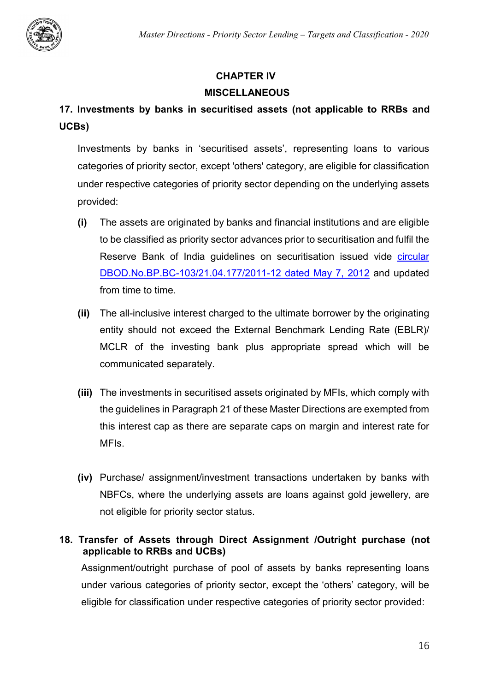

# **CHAPTER IV**

## **MISCELLANEOUS**

# <span id="page-17-0"></span>**17. Investments by banks in securitised assets (not applicable to RRBs and UCBs)**

Investments by banks in 'securitised assets', representing loans to various categories of priority sector, except 'others' category, are eligible for classification under respective categories of priority sector depending on the underlying assets provided:

- **(i)** The assets are originated by banks and financial institutions and are eligible to be classified as priority sector advances prior to securitisation and fulfil the Reserve Bank of India guidelines on securitisation issued vide circular [DBOD.No.BP.BC-103/21.04.177/2011-12 dated May 7, 2012](https://www.rbi.org.in/scripts/NotificationUser.aspx?Id=7184) and updated from time to time.
- **(ii)** The all-inclusive interest charged to the ultimate borrower by the originating entity should not exceed the External Benchmark Lending Rate (EBLR)/ MCLR of the investing bank plus appropriate spread which will be communicated separately.
- **(iii)** The investments in securitised assets originated by MFIs, which comply with the guidelines in Paragraph 21 of these Master Directions are exempted from this interest cap as there are separate caps on margin and interest rate for MFIs.
- **(iv)** Purchase/ assignment/investment transactions undertaken by banks with NBFCs, where the underlying assets are loans against gold jewellery, are not eligible for priority sector status.

# <span id="page-17-1"></span>**18. Transfer of Assets through Direct Assignment /Outright purchase (not applicable to RRBs and UCBs)**

Assignment/outright purchase of pool of assets by banks representing loans under various categories of priority sector, except the 'others' category, will be eligible for classification under respective categories of priority sector provided: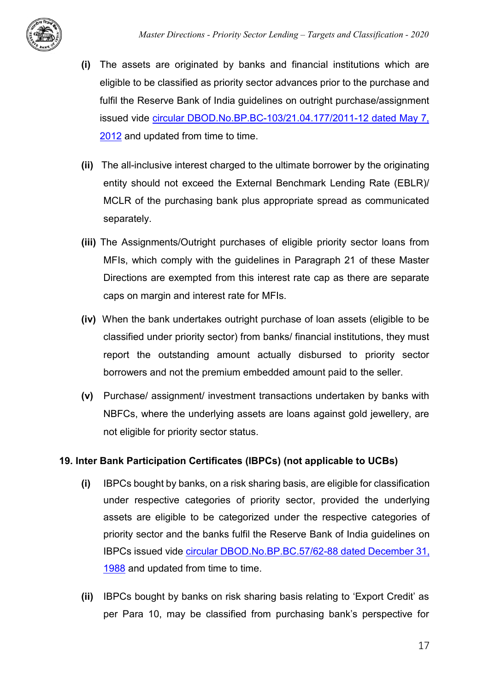

- **(i)** The assets are originated by banks and financial institutions which are eligible to be classified as priority sector advances prior to the purchase and fulfil the Reserve Bank of India guidelines on outright purchase/assignment issued vide [circular DBOD.No.BP.BC-103/21.04.177/2011-12 dated May 7,](https://www.rbi.org.in/scripts/NotificationUser.aspx?Id=7184)  [2012](https://www.rbi.org.in/scripts/NotificationUser.aspx?Id=7184) and updated from time to time.
- **(ii)** The all-inclusive interest charged to the ultimate borrower by the originating entity should not exceed the External Benchmark Lending Rate (EBLR)/ MCLR of the purchasing bank plus appropriate spread as communicated separately.
- **(iii)** The Assignments/Outright purchases of eligible priority sector loans from MFIs, which comply with the guidelines in Paragraph 21 of these Master Directions are exempted from this interest rate cap as there are separate caps on margin and interest rate for MFIs.
- **(iv)** When the bank undertakes outright purchase of loan assets (eligible to be classified under priority sector) from banks/ financial institutions, they must report the outstanding amount actually disbursed to priority sector borrowers and not the premium embedded amount paid to the seller.
- **(v)** Purchase/ assignment/ investment transactions undertaken by banks with NBFCs, where the underlying assets are loans against gold jewellery, are not eligible for priority sector status.

## <span id="page-18-0"></span>**19. Inter Bank Participation Certificates (IBPCs) (not applicable to UCBs)**

- **(i)** IBPCs bought by banks, on a risk sharing basis, are eligible for classification under respective categories of priority sector, provided the underlying assets are eligible to be categorized under the respective categories of priority sector and the banks fulfil the Reserve Bank of India guidelines on IBPCs issued vide [circular DBOD.No.BP.BC.57/62-88 dated December 31,](https://rbidocs.rbi.org.in/rdocs/content/PDFs/IBPC040809.pdf)  [1988](https://rbidocs.rbi.org.in/rdocs/content/PDFs/IBPC040809.pdf) and updated from time to time.
- **(ii)** IBPCs bought by banks on risk sharing basis relating to 'Export Credit' as per Para 10, may be classified from purchasing bank's perspective for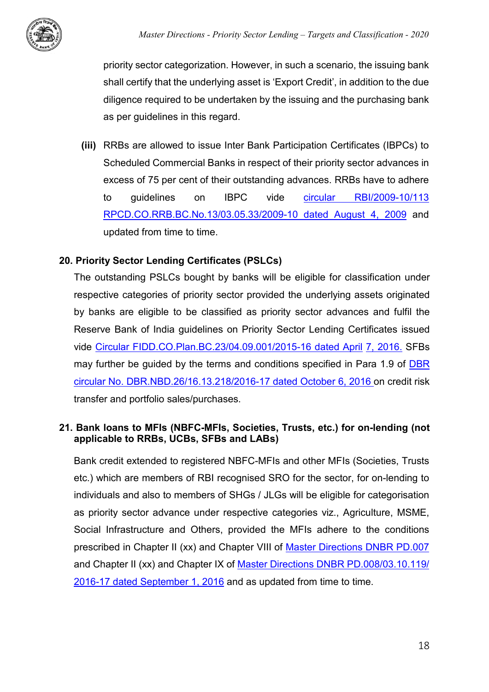

priority sector categorization. However, in such a scenario, the issuing bank shall certify that the underlying asset is 'Export Credit', in addition to the due diligence required to be undertaken by the issuing and the purchasing bank as per guidelines in this regard.

**(iii)** RRBs are allowed to issue Inter Bank Participation Certificates (IBPCs) to Scheduled Commercial Banks in respect of their priority sector advances in excess of 75 per cent of their outstanding advances. RRBs have to adhere to guidelines on IBPC vide [circular RBI/2009-10/113](https://www.rbi.org.in/scripts/NotificationUser.aspx?Mode=0&Id=5196)  [RPCD.CO.RRB.BC.No.13/03.05.33/2009-10 dated August 4, 2009](https://www.rbi.org.in/scripts/NotificationUser.aspx?Mode=0&Id=5196) and updated from time to time.

## <span id="page-19-0"></span>**20. Priority Sector Lending Certificates (PSLCs)**

The outstanding PSLCs bought by banks will be eligible for classification under respective categories of priority sector provided the underlying assets originated by banks are eligible to be classified as priority sector advances and fulfil the Reserve Bank of India guidelines on Priority Sector Lending Certificates issued vide [Circular FIDD.CO.Plan.BC.23/04.09.001/2015-16 dated April](https://www.rbi.org.in/Scripts/NotificationUser.aspx?Id=10339&Mode=0) [7, 2016.](https://www.rbi.org.in/Scripts/NotificationUser.aspx?Id=10339&Mode=0) SFBs may further be guided by the terms and conditions specified in Para 1.9 of DBR [circular No. DBR.NBD.26/16.13.218/2016-17 dated October 6, 2016](https://www.rbi.org.in/Scripts/NotificationUser.aspx?Id=10636&Mode=0) on credit risk transfer and portfolio sales/purchases.

## <span id="page-19-1"></span>**21. Bank loans to MFIs (NBFC-MFIs, Societies, Trusts, etc.) for on-lending (not applicable to RRBs, UCBs, SFBs and LABs)**

Bank credit extended to registered NBFC-MFIs and other MFIs (Societies, Trusts etc.) which are members of RBI recognised SRO for the sector, for on-lending to individuals and also to members of SHGs / JLGs will be eligible for categorisation as priority sector advance under respective categories viz., Agriculture, MSME, Social Infrastructure and Others, provided the MFIs adhere to the conditions prescribed in Chapter II (xx) and Chapter VIII of [Master Directions](https://www.rbi.org.in/Scripts/BS_ViewMasDirections.aspx?id=10585) DNBR PD.007 and Chapter II (xx) and Chapter IX of Master Directions [DNBR PD.008/03.10.119/](https://www.rbi.org.in/Scripts/BS_ViewMasDirections.aspx?id=10586)  [2016-17 dated September 1, 2016](https://www.rbi.org.in/Scripts/BS_ViewMasDirections.aspx?id=10586) and as updated from time to time.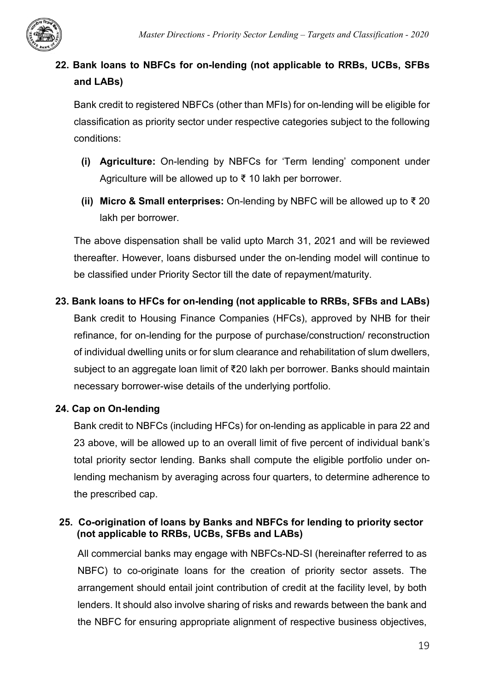

# <span id="page-20-0"></span>**22. Bank loans to NBFCs for on-lending (not applicable to RRBs, UCBs, SFBs and LABs)**

Bank credit to registered NBFCs (other than MFIs) for on-lending will be eligible for classification as priority sector under respective categories subject to the following conditions:

- **(i) Agriculture:** On-lending by NBFCs for 'Term lending' component under Agriculture will be allowed up to ₹ 10 lakh per borrower.
- **(ii) Micro & Small enterprises:** On-lending by NBFC will be allowed up to ₹ 20 lakh per borrower.

The above dispensation shall be valid upto March 31, 2021 and will be reviewed thereafter. However, loans disbursed under the on-lending model will continue to be classified under Priority Sector till the date of repayment/maturity.

<span id="page-20-1"></span>**23. Bank loans to HFCs for on-lending (not applicable to RRBs, SFBs and LABs)** Bank credit to Housing Finance Companies (HFCs), approved by NHB for their refinance, for on-lending for the purpose of purchase/construction/ reconstruction of individual dwelling units or for slum clearance and rehabilitation of slum dwellers, subject to an aggregate loan limit of ₹20 lakh per borrower. Banks should maintain

# necessary borrower-wise details of the underlying portfolio.

# <span id="page-20-2"></span>**24. Cap on On-lending**

Bank credit to NBFCs (including HFCs) for on-lending as applicable in para 22 and 23 above, will be allowed up to an overall limit of five percent of individual bank's total priority sector lending. Banks shall compute the eligible portfolio under onlending mechanism by averaging across four quarters, to determine adherence to the prescribed cap.

# <span id="page-20-3"></span>**25. Co-origination of loans by Banks and NBFCs for lending to priority sector (not applicable to RRBs, UCBs, SFBs and LABs)**

All commercial banks may engage with NBFCs-ND-SI (hereinafter referred to as NBFC) to co-originate loans for the creation of priority sector assets. The arrangement should entail joint contribution of credit at the facility level, by both lenders. It should also involve sharing of risks and rewards between the bank and the NBFC for ensuring appropriate alignment of respective business objectives,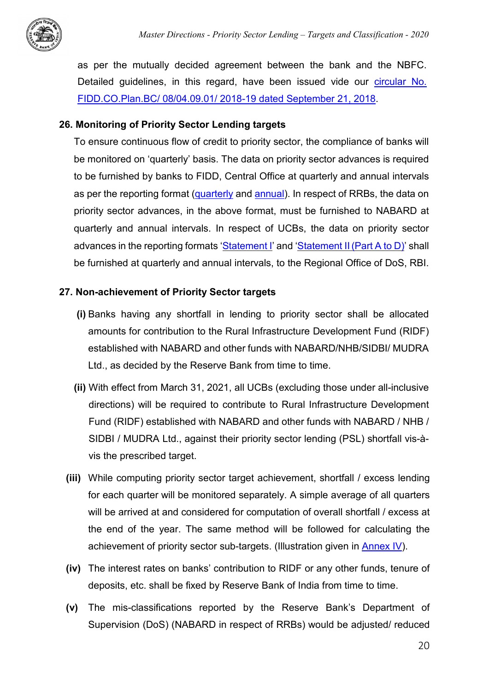

as per the mutually decided agreement between the bank and the NBFC. Detailed guidelines, in this regard, have been issued vide our circular No. [FIDD.CO.Plan.BC/ 08/04.09.01/ 2018-19 dated September 21, 2018.](https://www.rbi.org.in/scripts/FS_Notification.aspx?Id=11376&fn=2754&Mode=0)

#### <span id="page-21-0"></span>**26. Monitoring of Priority Sector Lending targets**

To ensure continuous flow of credit to priority sector, the compliance of banks will be monitored on 'quarterly' basis. The data on priority sector advances is required to be furnished by banks to FIDD, Central Office at quarterly and annual intervals as per the reporting format [\(quarterly](https://rbidocs.rbi.org.in/rdocs/content/docs/QPSAVer30_25082020.xlsx) and [annual\)](https://rbidocs.rbi.org.in/rdocs/content/docs/APSAVer50_25082020.xls). In respect of RRBs, the data on priority sector advances, in the above format, must be furnished to NABARD at quarterly and annual intervals. In respect of UCBs, the data on priority sector advances in the reporting formats ['Statement I'](https://rbidocs.rbi.org.in/rdocs/content/pdfs/UCB04092020_ST1.pdf) and 'Statement II (Part A to D)' shall be furnished at quarterly and annual intervals, to the Regional Office of DoS, RBI.

#### <span id="page-21-1"></span>**27. Non-achievement of Priority Sector targets**

- **(i)** Banks having any shortfall in lending to priority sector shall be allocated amounts for contribution to the Rural Infrastructure Development Fund (RIDF) established with NABARD and other funds with NABARD/NHB/SIDBI/ MUDRA Ltd., as decided by the Reserve Bank from time to time.
- **(ii)** With effect from March 31, 2021, all UCBs (excluding those under all-inclusive directions) will be required to contribute to Rural Infrastructure Development Fund (RIDF) established with NABARD and other funds with NABARD / NHB / SIDBI / MUDRA Ltd., against their priority sector lending (PSL) shortfall vis-àvis the prescribed target.
- **(iii)** While computing priority sector target achievement, shortfall / excess lending for each quarter will be monitored separately. A simple average of all quarters will be arrived at and considered for computation of overall shortfall / excess at the end of the year. The same method will be followed for calculating the achievement of priority sector sub-targets. (Illustration given in [Annex IV\)](#page-35-0).
- **(iv)** The interest rates on banks' contribution to RIDF or any other funds, tenure of deposits, etc. shall be fixed by Reserve Bank of India from time to time.
- **(v)** The mis-classifications reported by the Reserve Bank's Department of Supervision (DoS) (NABARD in respect of RRBs) would be adjusted/ reduced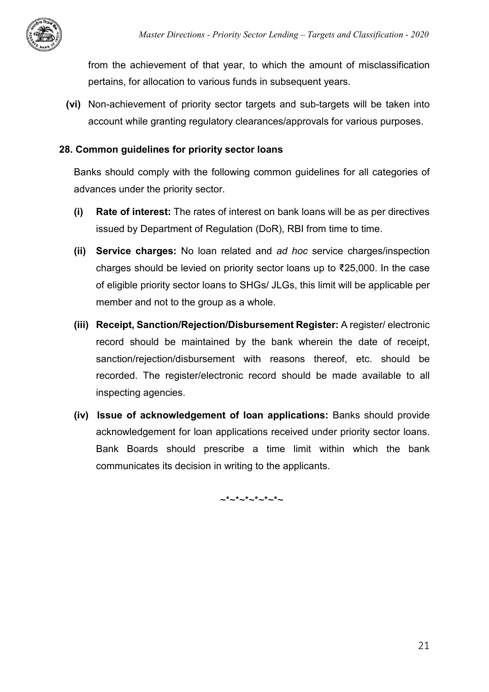from the achievement of that year, to which the amount of misclassification pertains, for allocation to various funds in subsequent years.

**(vi)** Non-achievement of priority sector targets and sub-targets will be taken into account while granting regulatory clearances/approvals for various purposes.

#### <span id="page-22-0"></span>**28. Common guidelines for priority sector loans**

Banks should comply with the following common guidelines for all categories of advances under the priority sector.

- **(i) Rate of interest:** The rates of interest on bank loans will be as per directives issued by Department of Regulation (DoR), RBI from time to time.
- **(ii) Service charges:** No loan related and *ad hoc* service charges/inspection charges should be levied on priority sector loans up to ₹25,000. In the case of eligible priority sector loans to SHGs/ JLGs, this limit will be applicable per member and not to the group as a whole.
- **(iii) Receipt, Sanction/Rejection/Disbursement Register:** A register/ electronic record should be maintained by the bank wherein the date of receipt, sanction/rejection/disbursement with reasons thereof, etc. should be recorded. The register/electronic record should be made available to all inspecting agencies.
- **(iv) Issue of acknowledgement of loan applications:** Banks should provide acknowledgement for loan applications received under priority sector loans. Bank Boards should prescribe a time limit within which the bank communicates its decision in writing to the applicants.

 $\sim^*$   $\sim^*$   $\sim^*$   $\sim^*$   $\sim$   $\sim$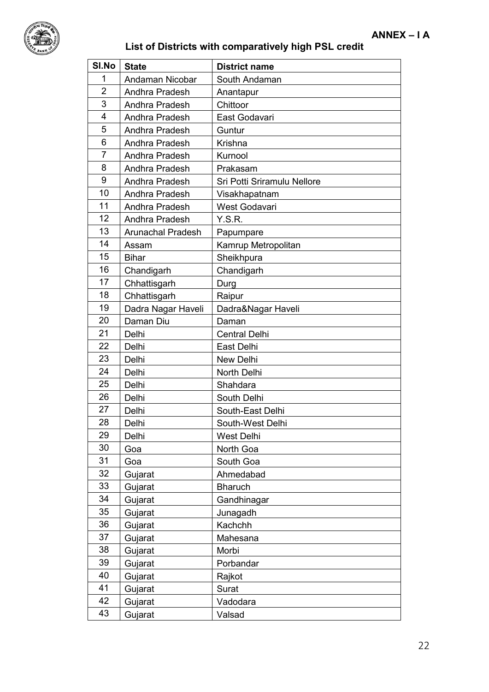

<span id="page-23-1"></span><span id="page-23-0"></span>

| SI.No          | <b>State</b>             | <b>District name</b>        |
|----------------|--------------------------|-----------------------------|
| 1              | Andaman Nicobar          | South Andaman               |
| $\overline{2}$ | Andhra Pradesh           | Anantapur                   |
| 3              | Andhra Pradesh           | Chittoor                    |
| 4              | Andhra Pradesh           | East Godavari               |
| 5              | Andhra Pradesh           | Guntur                      |
| 6              | Andhra Pradesh           | Krishna                     |
| $\overline{7}$ | Andhra Pradesh           | Kurnool                     |
| 8              | Andhra Pradesh           | Prakasam                    |
| 9              | Andhra Pradesh           | Sri Potti Sriramulu Nellore |
| 10             | Andhra Pradesh           | Visakhapatnam               |
| 11             | Andhra Pradesh           | West Godavari               |
| 12             | Andhra Pradesh           | Y.S.R.                      |
| 13             | <b>Arunachal Pradesh</b> | Papumpare                   |
| 14             | Assam                    | Kamrup Metropolitan         |
| 15             | <b>Bihar</b>             | Sheikhpura                  |
| 16             | Chandigarh               | Chandigarh                  |
| 17             | Chhattisgarh             | Durg                        |
| 18             | Chhattisgarh             | Raipur                      |
| 19             | Dadra Nagar Haveli       | Dadra&Nagar Haveli          |
| 20             | Daman Diu                | Daman                       |
| 21             | Delhi                    | <b>Central Delhi</b>        |
| 22             | Delhi                    | East Delhi                  |
| 23             | Delhi                    | New Delhi                   |
| 24             | Delhi                    | North Delhi                 |
| 25             | Delhi                    | Shahdara                    |
| 26             | Delhi                    | South Delhi                 |
| 27             | Delhi                    | South-East Delhi            |
| 28             | Delhi                    | South-West Delhi            |
| 29             | Delhi                    | West Delhi                  |
| 30             | Goa                      | North Goa                   |
| 31             | Goa                      | South Goa                   |
| 32             | Gujarat                  | Ahmedabad                   |
| 33             | Gujarat                  | <b>Bharuch</b>              |
| 34             | Gujarat                  | Gandhinagar                 |
| 35             | Gujarat                  | Junagadh                    |
| 36             | Gujarat                  | Kachchh                     |
| 37             | Gujarat                  | Mahesana                    |
| 38             | Gujarat                  | Morbi                       |
| 39             | Gujarat                  | Porbandar                   |
| 40             | Gujarat                  | Rajkot                      |
| 41             | Gujarat                  | Surat                       |
| 42             | Gujarat                  | Vadodara                    |
| 43             | Gujarat                  | Valsad                      |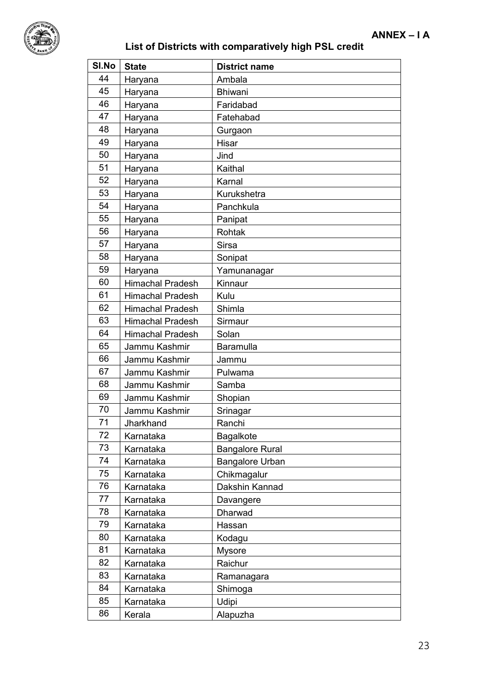

| SI.No | <b>State</b>            | <b>District name</b>   |
|-------|-------------------------|------------------------|
| 44    | Haryana                 | Ambala                 |
| 45    | Haryana                 | <b>Bhiwani</b>         |
| 46    | Haryana                 | Faridabad              |
| 47    | Haryana                 | Fatehabad              |
| 48    | Haryana                 | Gurgaon                |
| 49    | Haryana                 | Hisar                  |
| 50    | Haryana                 | Jind                   |
| 51    | Haryana                 | Kaithal                |
| 52    | Haryana                 | Karnal                 |
| 53    | Haryana                 | Kurukshetra            |
| 54    | Haryana                 | Panchkula              |
| 55    | Haryana                 | Panipat                |
| 56    | Haryana                 | Rohtak                 |
| 57    | Haryana                 | <b>Sirsa</b>           |
| 58    | Haryana                 | Sonipat                |
| 59    | Haryana                 | Yamunanagar            |
| 60    | <b>Himachal Pradesh</b> | Kinnaur                |
| 61    | <b>Himachal Pradesh</b> | Kulu                   |
| 62    | <b>Himachal Pradesh</b> | Shimla                 |
| 63    | <b>Himachal Pradesh</b> | Sirmaur                |
| 64    | <b>Himachal Pradesh</b> | Solan                  |
| 65    | Jammu Kashmir           | <b>Baramulla</b>       |
| 66    | Jammu Kashmir           | Jammu                  |
| 67    | Jammu Kashmir           | Pulwama                |
| 68    | Jammu Kashmir           | Samba                  |
| 69    | Jammu Kashmir           | Shopian                |
| 70    | Jammu Kashmir           | Srinagar               |
| 71    | Jharkhand               | Ranchi                 |
| 72    | Karnataka               | <b>Bagalkote</b>       |
| 73    | Karnataka               | <b>Bangalore Rural</b> |
| 74    | Karnataka               | <b>Bangalore Urban</b> |
| 75    | Karnataka               | Chikmagalur            |
| 76    | Karnataka               | Dakshin Kannad         |
| 77    | Karnataka               | Davangere              |
| 78    | Karnataka               | Dharwad                |
| 79    | Karnataka               | Hassan                 |
| 80    | Karnataka               | Kodagu                 |
| 81    | Karnataka               | <b>Mysore</b>          |
| 82    | Karnataka               | Raichur                |
| 83    | Karnataka               | Ramanagara             |
| 84    | Karnataka               | Shimoga                |
| 85    | Karnataka               | Udipi                  |
| 86    | Kerala                  | Alapuzha               |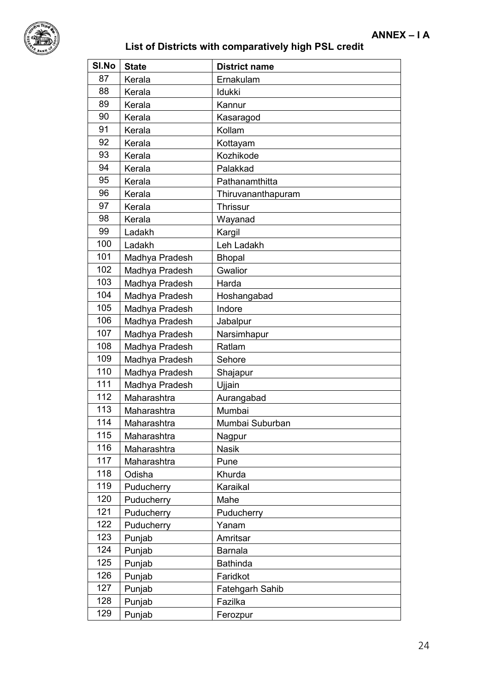

| SI.No | <b>State</b>   | <b>District name</b> |
|-------|----------------|----------------------|
| 87    | Kerala         | Ernakulam            |
| 88    | Kerala         | Idukki               |
| 89    | Kerala         | Kannur               |
| 90    | Kerala         | Kasaragod            |
| 91    | Kerala         | Kollam               |
| 92    | Kerala         | Kottayam             |
| 93    | Kerala         | Kozhikode            |
| 94    | Kerala         | Palakkad             |
| 95    | Kerala         | Pathanamthitta       |
| 96    | Kerala         | Thiruvananthapuram   |
| 97    | Kerala         | <b>Thrissur</b>      |
| 98    | Kerala         | Wayanad              |
| 99    | Ladakh         | Kargil               |
| 100   | Ladakh         | Leh Ladakh           |
| 101   | Madhya Pradesh | <b>Bhopal</b>        |
| 102   | Madhya Pradesh | Gwalior              |
| 103   | Madhya Pradesh | Harda                |
| 104   | Madhya Pradesh | Hoshangabad          |
| 105   | Madhya Pradesh | Indore               |
| 106   | Madhya Pradesh | Jabalpur             |
| 107   | Madhya Pradesh | Narsimhapur          |
| 108   | Madhya Pradesh | Ratlam               |
| 109   | Madhya Pradesh | Sehore               |
| 110   | Madhya Pradesh | Shajapur             |
| 111   | Madhya Pradesh | Ujjain               |
| 112   | Maharashtra    | Aurangabad           |
| 113   | Maharashtra    | Mumbai               |
| 114   | Maharashtra    | Mumbai Suburban      |
| 115   | Maharashtra    | Nagpur               |
| 116   | Maharashtra    | <b>Nasik</b>         |
| 117   | Maharashtra    | Pune                 |
| 118   | Odisha         | Khurda               |
| 119   | Puducherry     | Karaikal             |
| 120   | Puducherry     | Mahe                 |
| 121   | Puducherry     | Puducherry           |
| 122   | Puducherry     | Yanam                |
| 123   | Punjab         | Amritsar             |
| 124   | Punjab         | <b>Barnala</b>       |
| 125   | Punjab         | <b>Bathinda</b>      |
| 126   | Punjab         | Faridkot             |
| 127   | Punjab         | Fatehgarh Sahib      |
| 128   | Punjab         | Fazilka              |
| 129   | Punjab         | Ferozpur             |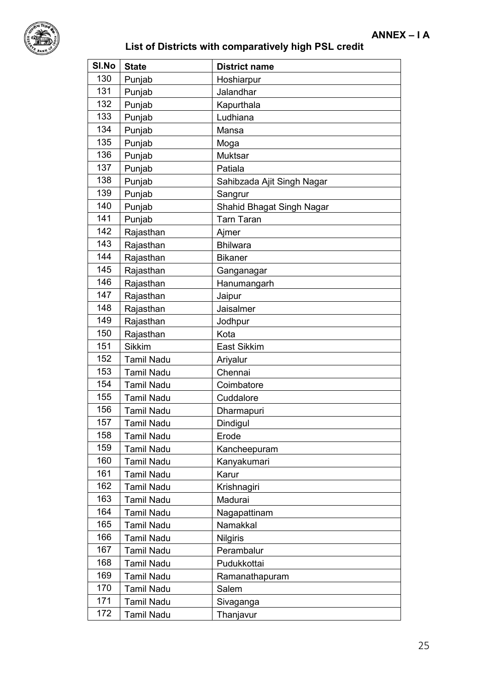

| SI.No | <b>State</b>      | <b>District name</b>       |
|-------|-------------------|----------------------------|
| 130   | Punjab            | Hoshiarpur                 |
| 131   | Punjab            | Jalandhar                  |
| 132   | Punjab            | Kapurthala                 |
| 133   | Punjab            | Ludhiana                   |
| 134   | Punjab            | Mansa                      |
| 135   | Punjab            | Moga                       |
| 136   | Punjab            | <b>Muktsar</b>             |
| 137   | Punjab            | Patiala                    |
| 138   | Punjab            | Sahibzada Ajit Singh Nagar |
| 139   | Punjab            | Sangrur                    |
| 140   | Punjab            | Shahid Bhagat Singh Nagar  |
| 141   | Punjab            | <b>Tarn Taran</b>          |
| 142   | Rajasthan         | Ajmer                      |
| 143   | Rajasthan         | <b>Bhilwara</b>            |
| 144   | Rajasthan         | <b>Bikaner</b>             |
| 145   | Rajasthan         | Ganganagar                 |
| 146   | Rajasthan         | Hanumangarh                |
| 147   | Rajasthan         | Jaipur                     |
| 148   | Rajasthan         | Jaisalmer                  |
| 149   | Rajasthan         | Jodhpur                    |
| 150   | Rajasthan         | Kota                       |
| 151   | <b>Sikkim</b>     | <b>East Sikkim</b>         |
| 152   | <b>Tamil Nadu</b> | Ariyalur                   |
| 153   | <b>Tamil Nadu</b> | Chennai                    |
| 154   | <b>Tamil Nadu</b> | Coimbatore                 |
| 155   | <b>Tamil Nadu</b> | Cuddalore                  |
| 156   | <b>Tamil Nadu</b> | Dharmapuri                 |
| 157   | <b>Tamil Nadu</b> | Dindigul                   |
| 158   | <b>Tamil Nadu</b> | Erode                      |
| 159   | <b>Tamil Nadu</b> | Kancheepuram               |
| 160   | <b>Tamil Nadu</b> | Kanyakumari                |
| 161   | <b>Tamil Nadu</b> | Karur                      |
| 162   | <b>Tamil Nadu</b> | Krishnagiri                |
| 163   | <b>Tamil Nadu</b> | Madurai                    |
| 164   | <b>Tamil Nadu</b> | Nagapattinam               |
| 165   | <b>Tamil Nadu</b> | Namakkal                   |
| 166   | <b>Tamil Nadu</b> | <b>Nilgiris</b>            |
| 167   | <b>Tamil Nadu</b> | Perambalur                 |
| 168   | <b>Tamil Nadu</b> | Pudukkottai                |
| 169   | <b>Tamil Nadu</b> | Ramanathapuram             |
| 170   | <b>Tamil Nadu</b> | Salem                      |
| 171   | <b>Tamil Nadu</b> | Sivaganga                  |
| 172   | <b>Tamil Nadu</b> | Thanjavur                  |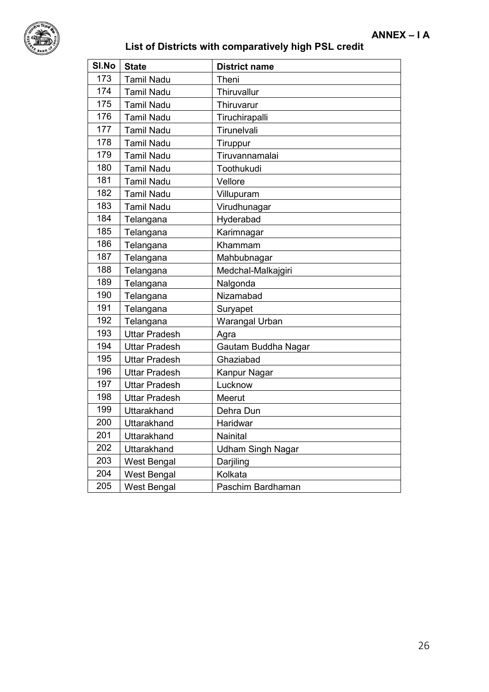

| SI.No | <b>State</b>         | <b>District name</b>     |
|-------|----------------------|--------------------------|
| 173   | <b>Tamil Nadu</b>    | Theni                    |
| 174   | <b>Tamil Nadu</b>    | Thiruvallur              |
| 175   | <b>Tamil Nadu</b>    | Thiruvarur               |
| 176   | <b>Tamil Nadu</b>    | Tiruchirapalli           |
| 177   | <b>Tamil Nadu</b>    | Tirunelvali              |
| 178   | <b>Tamil Nadu</b>    | Tiruppur                 |
| 179   | <b>Tamil Nadu</b>    | Tiruvannamalai           |
| 180   | <b>Tamil Nadu</b>    | Toothukudi               |
| 181   | <b>Tamil Nadu</b>    | Vellore                  |
| 182   | <b>Tamil Nadu</b>    | Villupuram               |
| 183   | <b>Tamil Nadu</b>    | Virudhunagar             |
| 184   | Telangana            | Hyderabad                |
| 185   | Telangana            | Karimnagar               |
| 186   | Telangana            | Khammam                  |
| 187   | Telangana            | Mahbubnagar              |
| 188   | Telangana            | Medchal-Malkajgiri       |
| 189   | Telangana            | Nalgonda                 |
| 190   | Telangana            | Nizamabad                |
| 191   | Telangana            | Suryapet                 |
| 192   | Telangana            | Warangal Urban           |
| 193   | <b>Uttar Pradesh</b> | Agra                     |
| 194   | <b>Uttar Pradesh</b> | Gautam Buddha Nagar      |
| 195   | <b>Uttar Pradesh</b> | Ghaziabad                |
| 196   | <b>Uttar Pradesh</b> | Kanpur Nagar             |
| 197   | <b>Uttar Pradesh</b> | Lucknow                  |
| 198   | <b>Uttar Pradesh</b> | Meerut                   |
| 199   | Uttarakhand          | Dehra Dun                |
| 200   | Uttarakhand          | Haridwar                 |
| 201   | Uttarakhand          | Nainital                 |
| 202   | Uttarakhand          | <b>Udham Singh Nagar</b> |
| 203   | <b>West Bengal</b>   | Darjiling                |
| 204   | <b>West Bengal</b>   | Kolkata                  |
| 205   | <b>West Bengal</b>   | Paschim Bardhaman        |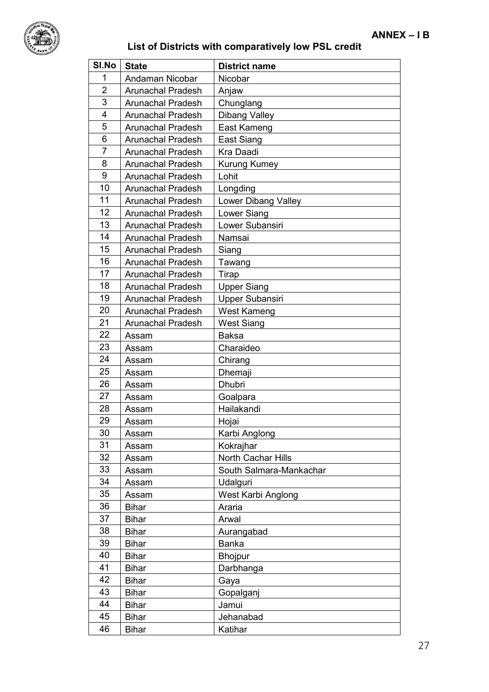

<span id="page-28-0"></span>

| SI.No          | <b>State</b>             | <b>District name</b>    |  |
|----------------|--------------------------|-------------------------|--|
| 1              | Andaman Nicobar          | Nicobar                 |  |
| $\overline{2}$ | <b>Arunachal Pradesh</b> | Anjaw                   |  |
| 3              | <b>Arunachal Pradesh</b> | Chunglang               |  |
| 4              | <b>Arunachal Pradesh</b> | <b>Dibang Valley</b>    |  |
| 5              | <b>Arunachal Pradesh</b> | East Kameng             |  |
| 6              | <b>Arunachal Pradesh</b> | East Siang              |  |
| $\overline{7}$ | Arunachal Pradesh        | Kra Daadi               |  |
| 8              | <b>Arunachal Pradesh</b> | Kurung Kumey            |  |
| 9              | <b>Arunachal Pradesh</b> | Lohit                   |  |
| 10             | <b>Arunachal Pradesh</b> | Longding                |  |
| 11             | <b>Arunachal Pradesh</b> | Lower Dibang Valley     |  |
| 12             | <b>Arunachal Pradesh</b> | Lower Siang             |  |
| 13             | <b>Arunachal Pradesh</b> | Lower Subansiri         |  |
| 14             | <b>Arunachal Pradesh</b> | Namsai                  |  |
| 15             | <b>Arunachal Pradesh</b> | Siang                   |  |
| 16             | <b>Arunachal Pradesh</b> | Tawang                  |  |
| 17             | <b>Arunachal Pradesh</b> | Tirap                   |  |
| 18             | <b>Arunachal Pradesh</b> | <b>Upper Siang</b>      |  |
| 19             | <b>Arunachal Pradesh</b> | Upper Subansiri         |  |
| 20             | <b>Arunachal Pradesh</b> | <b>West Kameng</b>      |  |
| 21             | <b>Arunachal Pradesh</b> | <b>West Siang</b>       |  |
| 22             | Assam                    | <b>Baksa</b>            |  |
| 23             | Assam                    | Charaideo               |  |
| 24             | Assam                    | Chirang                 |  |
| 25             | Assam                    | Dhemaji                 |  |
| 26             | Assam                    | <b>Dhubri</b>           |  |
| 27             | Assam                    | Goalpara                |  |
| 28             | Assam                    | Hailakandi              |  |
| 29             | Assam                    | Hojai                   |  |
| 30             | Assam                    | Karbi Anglong           |  |
| 31             | Assam                    | Kokrajhar               |  |
| 32             | Assam                    | North Cachar Hills      |  |
| 33             | Assam                    | South Salmara-Mankachar |  |
| 34             | Assam                    | Udalguri                |  |
| 35             | Assam                    | West Karbi Anglong      |  |
| 36             | <b>Bihar</b>             | Araria                  |  |
| 37             | <b>Bihar</b>             | Arwal                   |  |
| 38             | <b>Bihar</b>             | Aurangabad              |  |
| 39             | <b>Bihar</b>             | <b>Banka</b>            |  |
| 40             | <b>Bihar</b>             | <b>Bhojpur</b>          |  |
| 41             | <b>Bihar</b>             | Darbhanga               |  |
| 42             | <b>Bihar</b>             | Gaya                    |  |
| 43             | <b>Bihar</b>             | Gopalganj               |  |
| 44             | <b>Bihar</b>             | Jamui                   |  |
| 45             | <b>Bihar</b>             | Jehanabad               |  |
| 46             | <b>Bihar</b>             | Katihar                 |  |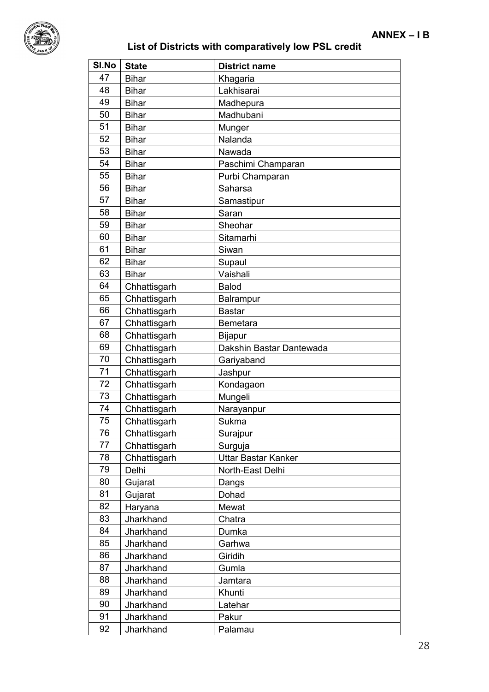

| SI.No | <b>State</b> | <b>District name</b>       |  |
|-------|--------------|----------------------------|--|
| 47    | <b>Bihar</b> | Khagaria                   |  |
| 48    | <b>Bihar</b> | Lakhisarai                 |  |
| 49    | <b>Bihar</b> | Madhepura                  |  |
| 50    | <b>Bihar</b> | Madhubani                  |  |
| 51    | <b>Bihar</b> | Munger                     |  |
| 52    | <b>Bihar</b> | Nalanda                    |  |
| 53    | <b>Bihar</b> | Nawada                     |  |
| 54    | <b>Bihar</b> | Paschimi Champaran         |  |
| 55    | <b>Bihar</b> | Purbi Champaran            |  |
| 56    | <b>Bihar</b> | Saharsa                    |  |
| 57    | <b>Bihar</b> | Samastipur                 |  |
| 58    | <b>Bihar</b> | Saran                      |  |
| 59    | <b>Bihar</b> | Sheohar                    |  |
| 60    | <b>Bihar</b> | Sitamarhi                  |  |
| 61    | <b>Bihar</b> | Siwan                      |  |
| 62    | <b>Bihar</b> | Supaul                     |  |
| 63    | <b>Bihar</b> | Vaishali                   |  |
| 64    | Chhattisgarh | <b>Balod</b>               |  |
| 65    | Chhattisgarh | Balrampur                  |  |
| 66    | Chhattisgarh | <b>Bastar</b>              |  |
| 67    | Chhattisgarh | <b>Bemetara</b>            |  |
| 68    | Chhattisgarh | Bijapur                    |  |
| 69    | Chhattisgarh | Dakshin Bastar Dantewada   |  |
| 70    | Chhattisgarh | Gariyaband                 |  |
| 71    | Chhattisgarh | Jashpur                    |  |
| 72    | Chhattisgarh | Kondagaon                  |  |
| 73    | Chhattisgarh | Mungeli                    |  |
| 74    | Chhattisgarh | Narayanpur                 |  |
| 75    | Chhattisgarh | Sukma                      |  |
| 76    | Chhattisgarh | Surajpur                   |  |
| 77    | Chhattisgarh | Surguja                    |  |
| 78    | Chhattisgarh | <b>Uttar Bastar Kanker</b> |  |
| 79    | Delhi        | North-East Delhi           |  |
| 80    | Gujarat      | Dangs                      |  |
| 81    | Gujarat      | Dohad                      |  |
| 82    | Haryana      | Mewat                      |  |
| 83    | Jharkhand    | Chatra                     |  |
| 84    | Jharkhand    | Dumka                      |  |
| 85    | Jharkhand    | Garhwa                     |  |
| 86    | Jharkhand    | Giridih                    |  |
| 87    | Jharkhand    | Gumla                      |  |
| 88    | Jharkhand    | Jamtara                    |  |
| 89    | Jharkhand    | Khunti                     |  |
| 90    | Jharkhand    | Latehar                    |  |
| 91    | Jharkhand    | Pakur                      |  |
| 92    | Jharkhand    | Palamau                    |  |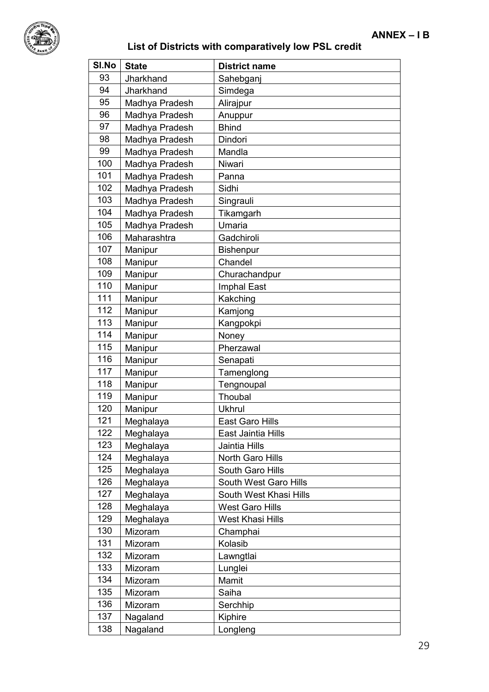

| SI.No | <b>State</b>   | <b>District name</b>    |  |
|-------|----------------|-------------------------|--|
| 93    | Jharkhand      | Sahebganj               |  |
| 94    | Jharkhand      | Simdega                 |  |
| 95    | Madhya Pradesh | Alirajpur               |  |
| 96    | Madhya Pradesh | Anuppur                 |  |
| 97    | Madhya Pradesh | <b>Bhind</b>            |  |
| 98    | Madhya Pradesh | Dindori                 |  |
| 99    | Madhya Pradesh | Mandla                  |  |
| 100   | Madhya Pradesh | Niwari                  |  |
| 101   | Madhya Pradesh | Panna                   |  |
| 102   | Madhya Pradesh | Sidhi                   |  |
| 103   | Madhya Pradesh | Singrauli               |  |
| 104   | Madhya Pradesh | Tikamgarh               |  |
| 105   | Madhya Pradesh | Umaria                  |  |
| 106   | Maharashtra    | Gadchiroli              |  |
| 107   | Manipur        | <b>Bishenpur</b>        |  |
| 108   | Manipur        | Chandel                 |  |
| 109   | Manipur        | Churachandpur           |  |
| 110   | Manipur        | Imphal East             |  |
| 111   | Manipur        | Kakching                |  |
| 112   | Manipur        | Kamjong                 |  |
| 113   | Manipur        | Kangpokpi               |  |
| 114   | Manipur        | Noney                   |  |
| 115   | Manipur        | Pherzawal               |  |
| 116   | Manipur        | Senapati                |  |
| 117   | Manipur        | Tamenglong              |  |
| 118   | Manipur        | Tengnoupal              |  |
| 119   | Manipur        | Thoubal                 |  |
| 120   | Manipur        | <b>Ukhrul</b>           |  |
| 121   | Meghalaya      | <b>East Garo Hills</b>  |  |
| 122   | Meghalaya      | East Jaintia Hills      |  |
| 123   | Meghalaya      | Jaintia Hills           |  |
| 124   | Meghalaya      | North Garo Hills        |  |
| 125   | Meghalaya      | South Garo Hills        |  |
| 126   | Meghalaya      | South West Garo Hills   |  |
| 127   | Meghalaya      | South West Khasi Hills  |  |
| 128   | Meghalaya      | <b>West Garo Hills</b>  |  |
| 129   | Meghalaya      | <b>West Khasi Hills</b> |  |
| 130   | Mizoram        | Champhai                |  |
| 131   | Mizoram        | Kolasib                 |  |
| 132   | Mizoram        | Lawngtlai               |  |
| 133   | Mizoram        | Lunglei                 |  |
| 134   | Mizoram        | Mamit                   |  |
| 135   | Mizoram        | Saiha                   |  |
| 136   | Mizoram        | Serchhip                |  |
| 137   | Nagaland       | Kiphire                 |  |
| 138   | Nagaland       | Longleng                |  |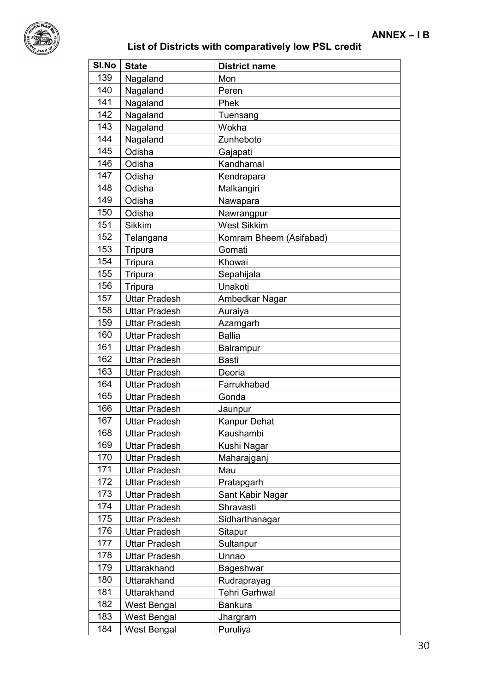

| SI.No | <b>State</b>         | <b>District name</b>    |
|-------|----------------------|-------------------------|
| 139   | Nagaland             | Mon                     |
| 140   | Nagaland             | Peren                   |
| 141   | Nagaland             | Phek                    |
| 142   | Nagaland             | Tuensang                |
| 143   | Nagaland             | Wokha                   |
| 144   | Nagaland             | Zunheboto               |
| 145   | Odisha               | Gajapati                |
| 146   | Odisha               | Kandhamal               |
| 147   | Odisha               | Kendrapara              |
| 148   | Odisha               | Malkangiri              |
| 149   | Odisha               | Nawapara                |
| 150   | Odisha               | Nawrangpur              |
| 151   | <b>Sikkim</b>        | <b>West Sikkim</b>      |
| 152   | Telangana            | Komram Bheem (Asifabad) |
| 153   | Tripura              | Gomati                  |
| 154   | Tripura              | Khowai                  |
| 155   | Tripura              | Sepahijala              |
| 156   | Tripura              | Unakoti                 |
| 157   | <b>Uttar Pradesh</b> | Ambedkar Nagar          |
| 158   | <b>Uttar Pradesh</b> | Auraiya                 |
| 159   | <b>Uttar Pradesh</b> | Azamgarh                |
| 160   | <b>Uttar Pradesh</b> | <b>Ballia</b>           |
| 161   | <b>Uttar Pradesh</b> | Balrampur               |
| 162   | <b>Uttar Pradesh</b> | <b>Basti</b>            |
| 163   | <b>Uttar Pradesh</b> | Deoria                  |
| 164   | <b>Uttar Pradesh</b> | Farrukhabad             |
| 165   | <b>Uttar Pradesh</b> | Gonda                   |
| 166   | <b>Uttar Pradesh</b> | Jaunpur                 |
| 167   | <b>Uttar Pradesh</b> | Kanpur Dehat            |
| 168   | <b>Uttar Pradesh</b> | Kaushambi               |
| 169   | <b>Uttar Pradesh</b> | Kushi Nagar             |
| 170   | <b>Uttar Pradesh</b> | Maharajganj             |
| 171   | <b>Uttar Pradesh</b> | Mau                     |
| 172   | <b>Uttar Pradesh</b> | Pratapgarh              |
| 173   | <b>Uttar Pradesh</b> | Sant Kabir Nagar        |
| 174   | <b>Uttar Pradesh</b> | Shravasti               |
| 175   | <b>Uttar Pradesh</b> | Sidharthanagar          |
| 176   | <b>Uttar Pradesh</b> | Sitapur                 |
| 177   | <b>Uttar Pradesh</b> | Sultanpur               |
| 178   | <b>Uttar Pradesh</b> | Unnao                   |
| 179   | Uttarakhand          | Bageshwar               |
| 180   | Uttarakhand          | Rudraprayag             |
| 181   | Uttarakhand          | <b>Tehri Garhwal</b>    |
| 182   | West Bengal          | <b>Bankura</b>          |
| 183   | West Bengal          | Jhargram                |
| 184   | West Bengal          | Puruliya                |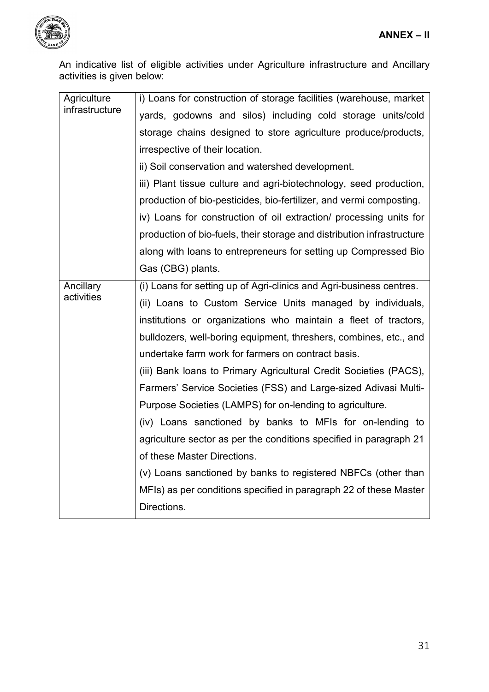<span id="page-32-0"></span>

<span id="page-32-1"></span>An indicative list of eligible activities under Agriculture infrastructure and Ancillary activities is given below:

| Agriculture    | i) Loans for construction of storage facilities (warehouse, market     |  |  |  |
|----------------|------------------------------------------------------------------------|--|--|--|
| infrastructure | yards, godowns and silos) including cold storage units/cold            |  |  |  |
|                | storage chains designed to store agriculture produce/products,         |  |  |  |
|                | irrespective of their location.                                        |  |  |  |
|                | ii) Soil conservation and watershed development.                       |  |  |  |
|                | iii) Plant tissue culture and agri-biotechnology, seed production,     |  |  |  |
|                | production of bio-pesticides, bio-fertilizer, and vermi composting.    |  |  |  |
|                | iv) Loans for construction of oil extraction/ processing units for     |  |  |  |
|                | production of bio-fuels, their storage and distribution infrastructure |  |  |  |
|                | along with loans to entrepreneurs for setting up Compressed Bio        |  |  |  |
|                | Gas (CBG) plants.                                                      |  |  |  |
| Ancillary      | (i) Loans for setting up of Agri-clinics and Agri-business centres.    |  |  |  |
| activities     | (ii) Loans to Custom Service Units managed by individuals,             |  |  |  |
|                | institutions or organizations who maintain a fleet of tractors,        |  |  |  |
|                | bulldozers, well-boring equipment, threshers, combines, etc., and      |  |  |  |
|                | undertake farm work for farmers on contract basis.                     |  |  |  |
|                | (iii) Bank loans to Primary Agricultural Credit Societies (PACS),      |  |  |  |
|                | Farmers' Service Societies (FSS) and Large-sized Adivasi Multi-        |  |  |  |
|                | Purpose Societies (LAMPS) for on-lending to agriculture.               |  |  |  |
|                | (iv) Loans sanctioned by banks to MFIs for on-lending to               |  |  |  |
|                | agriculture sector as per the conditions specified in paragraph 21     |  |  |  |
|                | of these Master Directions.                                            |  |  |  |
|                | (v) Loans sanctioned by banks to registered NBFCs (other than          |  |  |  |
|                | MFIs) as per conditions specified in paragraph 22 of these Master      |  |  |  |
|                | Directions.                                                            |  |  |  |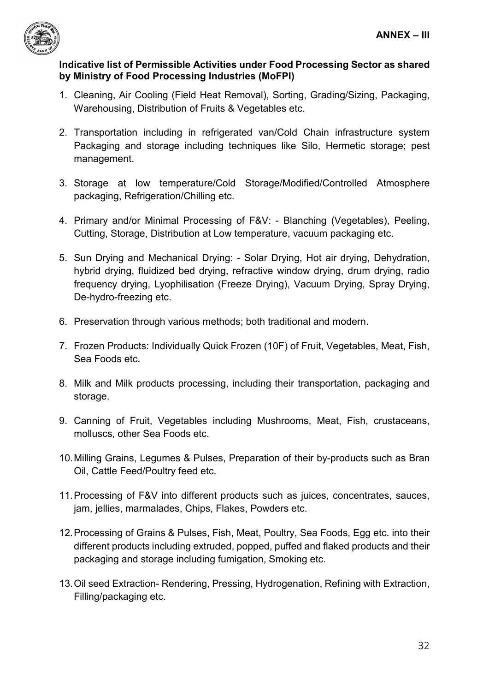<span id="page-33-0"></span>

## <span id="page-33-1"></span>**Indicative list of Permissible Activities under Food Processing Sector as shared by Ministry of Food Processing Industries (MoFPI)**

- 1. Cleaning, Air Cooling (Field Heat Removal), Sorting, Grading/Sizing, Packaging, Warehousing, Distribution of Fruits & Vegetables etc.
- 2. Transportation including in refrigerated van/Cold Chain infrastructure system Packaging and storage including techniques like Silo, Hermetic storage; pest management.
- 3. Storage at low temperature/Cold Storage/Modified/Controlled Atmosphere packaging, Refrigeration/Chilling etc.
- 4. Primary and/or Minimal Processing of F&V: Blanching (Vegetables), Peeling, Cutting, Storage, Distribution at Low temperature, vacuum packaging etc.
- 5. Sun Drying and Mechanical Drying: Solar Drying, Hot air drying, Dehydration, hybrid drying, fluidized bed drying, refractive window drying, drum drying, radio frequency drying, Lyophilisation (Freeze Drying), Vacuum Drying, Spray Drying, De-hydro-freezing etc.
- 6. Preservation through various methods; both traditional and modern.
- 7. Frozen Products: Individually Quick Frozen (10F) of Fruit, Vegetables, Meat, Fish, Sea Foods etc.
- 8. Milk and Milk products processing, including their transportation, packaging and storage.
- 9. Canning of Fruit, Vegetables including Mushrooms, Meat, Fish, crustaceans, molluscs, other Sea Foods etc.
- 10.Milling Grains, Legumes & Pulses, Preparation of their by-products such as Bran Oil, Cattle Feed/Poultry feed etc.
- 11.Processing of F&V into different products such as juices, concentrates, sauces, jam, jellies, marmalades, Chips, Flakes, Powders etc.
- 12.Processing of Grains & Pulses, Fish, Meat, Poultry, Sea Foods, Egg etc. into their different products including extruded, popped, puffed and flaked products and their packaging and storage including fumigation, Smoking etc.
- 13.Oil seed Extraction- Rendering, Pressing, Hydrogenation, Refining with Extraction, Filling/packaging etc.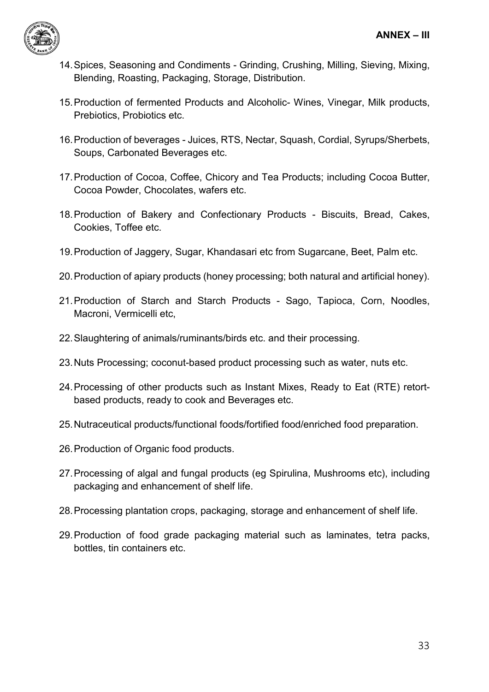

- 14.Spices, Seasoning and Condiments Grinding, Crushing, Milling, Sieving, Mixing, Blending, Roasting, Packaging, Storage, Distribution.
- 15.Production of fermented Products and Alcoholic- Wines, Vinegar, Milk products, Prebiotics, Probiotics etc.
- 16.Production of beverages Juices, RTS, Nectar, Squash, Cordial, Syrups/Sherbets, Soups, Carbonated Beverages etc.
- 17.Production of Cocoa, Coffee, Chicory and Tea Products; including Cocoa Butter, Cocoa Powder, Chocolates, wafers etc.
- 18.Production of Bakery and Confectionary Products Biscuits, Bread, Cakes, Cookies, Toffee etc.
- 19.Production of Jaggery, Sugar, Khandasari etc from Sugarcane, Beet, Palm etc.
- 20.Production of apiary products (honey processing; both natural and artificial honey).
- 21.Production of Starch and Starch Products Sago, Tapioca, Corn, Noodles, Macroni, Vermicelli etc,
- 22.Slaughtering of animals/ruminants/birds etc. and their processing.
- 23.Nuts Processing; coconut-based product processing such as water, nuts etc.
- 24.Processing of other products such as Instant Mixes, Ready to Eat (RTE) retortbased products, ready to cook and Beverages etc.
- 25.Nutraceutical products/functional foods/fortified food/enriched food preparation.
- 26.Production of Organic food products.
- 27.Processing of algal and fungal products (eg Spirulina, Mushrooms etc), including packaging and enhancement of shelf life.
- 28.Processing plantation crops, packaging, storage and enhancement of shelf life.
- 29.Production of food grade packaging material such as laminates, tetra packs, bottles, tin containers etc.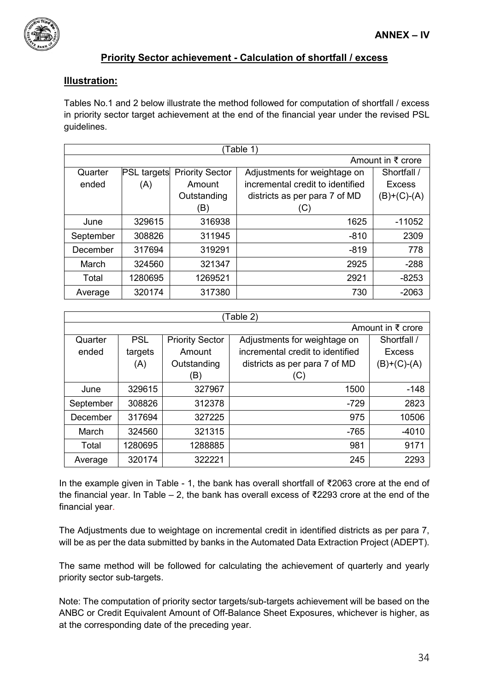

#### <span id="page-35-0"></span>**Priority Sector achievement - Calculation of shortfall / excess**

#### **Illustration:**

Tables No.1 and 2 below illustrate the method followed for computation of shortfall / excess in priority sector target achievement at the end of the financial year under the revised PSL guidelines.

| Table 1)  |                              |                        |                                  |               |  |
|-----------|------------------------------|------------------------|----------------------------------|---------------|--|
|           | Amount in $\bar{\tau}$ crore |                        |                                  |               |  |
| Quarter   | <b>PSL targets</b>           | <b>Priority Sector</b> | Adjustments for weightage on     | Shortfall /   |  |
| ended     | (A)                          | Amount                 | incremental credit to identified | <b>Excess</b> |  |
|           |                              | Outstanding            | districts as per para 7 of MD    | (B)+(C)-(A)   |  |
|           |                              | (B)                    | (C)                              |               |  |
| June      | 329615                       | 316938                 | 1625                             | $-11052$      |  |
| September | 308826                       | 311945                 | $-810$                           | 2309          |  |
| December  | 317694                       | 319291                 | $-819$                           | 778           |  |
| March     | 324560                       | 321347                 | 2925                             | $-288$        |  |
| Total     | 1280695                      | 1269521                | 2921                             | $-8253$       |  |
| Average   | 320174                       | 317380                 | 730                              | $-2063$       |  |

| Table 2)  |            |                        |                                  |                              |
|-----------|------------|------------------------|----------------------------------|------------------------------|
|           |            |                        |                                  | Amount in $\bar{\tau}$ crore |
| Quarter   | <b>PSL</b> | <b>Priority Sector</b> | Adjustments for weightage on     | Shortfall /                  |
| ended     | targets    | Amount                 | incremental credit to identified | <b>Excess</b>                |
|           | (A)        | Outstanding            | districts as per para 7 of MD    | $(B)+(C)-(A)$                |
|           |            | (B)                    | (C)                              |                              |
| June      | 329615     | 327967                 | 1500                             | $-148$                       |
| September | 308826     | 312378                 | $-729$                           | 2823                         |
| December  | 317694     | 327225                 | 975                              | 10506                        |
| March     | 324560     | 321315                 | $-765$                           | -4010                        |
| Total     | 1280695    | 1288885                | 981                              | 9171                         |
| Average   | 320174     | 322221                 | 245                              | 2293                         |

In the example given in Table - 1, the bank has overall shortfall of ₹2063 crore at the end of the financial year. In Table – 2, the bank has overall excess of ₹2293 crore at the end of the financial year.

The Adjustments due to weightage on incremental credit in identified districts as per para 7, will be as per the data submitted by banks in the Automated Data Extraction Project (ADEPT).

The same method will be followed for calculating the achievement of quarterly and yearly priority sector sub-targets.

Note: The computation of priority sector targets/sub-targets achievement will be based on the ANBC or Credit Equivalent Amount of Off-Balance Sheet Exposures, whichever is higher, as at the corresponding date of the preceding year.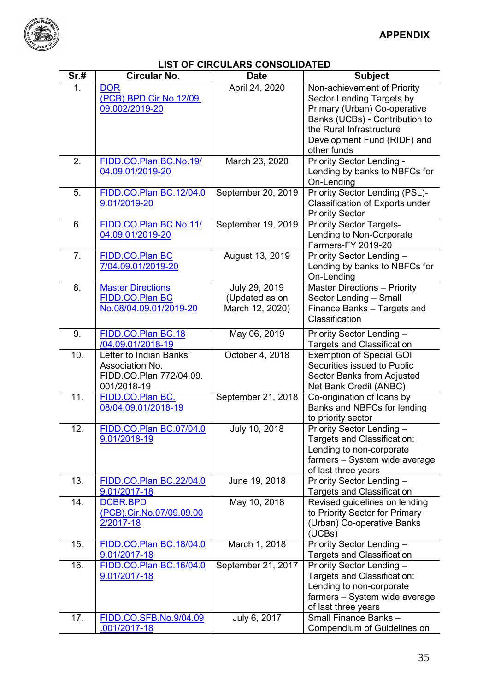<span id="page-36-0"></span>

# **LIST OF CIRCULARS CONSOLIDATED**

| Sr.# | <b>Circular No.</b>                                                                  | <b>Date</b>                                        | <b>Subject</b>                                                                                                                                                                                       |
|------|--------------------------------------------------------------------------------------|----------------------------------------------------|------------------------------------------------------------------------------------------------------------------------------------------------------------------------------------------------------|
| 1.   | <b>DOR</b><br>(PCB).BPD.Cir.No.12/09.<br>09.002/2019-20                              | April 24, 2020                                     | Non-achievement of Priority<br>Sector Lending Targets by<br>Primary (Urban) Co-operative<br>Banks (UCBs) - Contribution to<br>the Rural Infrastructure<br>Development Fund (RIDF) and<br>other funds |
| 2.   | FIDD.CO.Plan.BC.No.19/<br>04.09.01/2019-20                                           | March 23, 2020                                     | Priority Sector Lending -<br>Lending by banks to NBFCs for<br>On-Lending                                                                                                                             |
| 5.   | FIDD.CO.Plan.BC.12/04.0<br>9.01/2019-20                                              | September 20, 2019                                 | Priority Sector Lending (PSL)-<br>Classification of Exports under<br><b>Priority Sector</b>                                                                                                          |
| 6.   | FIDD.CO.Plan.BC.No.11/<br>04.09.01/2019-20                                           | September 19, 2019                                 | <b>Priority Sector Targets-</b><br>Lending to Non-Corporate<br>Farmers-FY 2019-20                                                                                                                    |
| 7.   | FIDD.CO.Plan.BC<br>7/04.09.01/2019-20                                                | August 13, 2019                                    | Priority Sector Lending -<br>Lending by banks to NBFCs for<br>On-Lending                                                                                                                             |
| 8.   | <b>Master Directions</b><br>FIDD.CO.Plan.BC<br>No.08/04.09.01/2019-20                | July 29, 2019<br>(Updated as on<br>March 12, 2020) | <b>Master Directions - Priority</b><br>Sector Lending - Small<br>Finance Banks - Targets and<br>Classification                                                                                       |
| 9.   | FIDD.CO.Plan.BC.18<br>/04.09.01/2018-19                                              | May 06, 2019                                       | Priority Sector Lending -<br><b>Targets and Classification</b>                                                                                                                                       |
| 10.  | Letter to Indian Banks'<br>Association No.<br>FIDD.CO.Plan.772/04.09.<br>001/2018-19 | October 4, 2018                                    | <b>Exemption of Special GOI</b><br>Securities issued to Public<br>Sector Banks from Adjusted<br>Net Bank Credit (ANBC)                                                                               |
| 11.  | FIDD.CO.Plan.BC.<br>08/04.09.01/2018-19                                              | September 21, 2018                                 | Co-origination of loans by<br>Banks and NBFCs for lending<br>to priority sector                                                                                                                      |
| 12.  | FIDD.CO.Plan.BC.07/04.0<br>9.01/2018-19                                              | July 10, 2018                                      | Priority Sector Lending -<br>Targets and Classification:<br>Lending to non-corporate<br>farmers - System wide average<br>of last three years                                                         |
| 13.  | FIDD.CO.Plan.BC.22/04.0<br>9.01/2017-18                                              | June 19, 2018                                      | Priority Sector Lending -<br><b>Targets and Classification</b>                                                                                                                                       |
| 14.  | <b>DCBR.BPD</b><br>(PCB).Cir.No.07/09.09.00<br>2/2017-18                             | May 10, 2018                                       | Revised guidelines on lending<br>to Priority Sector for Primary<br>(Urban) Co-operative Banks<br>(UCBs)                                                                                              |
| 15.  | FIDD.CO.Plan.BC.18/04.0<br>9.01/2017-18                                              | March 1, 2018                                      | Priority Sector Lending -<br><b>Targets and Classification</b>                                                                                                                                       |
| 16.  | FIDD.CO.Plan.BC.16/04.0<br>9.01/2017-18                                              | September 21, 2017                                 | Priority Sector Lending -<br>Targets and Classification:<br>Lending to non-corporate<br>farmers - System wide average<br>of last three years                                                         |
| 17.  | FIDD.CO.SFB.No.9/04.09<br>001/2017-18                                                | July 6, 2017                                       | Small Finance Banks -<br>Compendium of Guidelines on                                                                                                                                                 |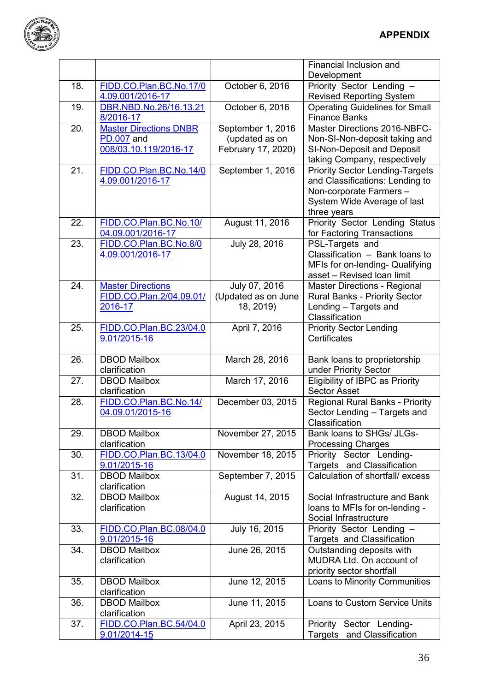

|     |                                         |                     | Financial Inclusion and                                 |
|-----|-----------------------------------------|---------------------|---------------------------------------------------------|
|     |                                         |                     | Development                                             |
| 18. | FIDD.CO.Plan.BC.No.17/0                 | October 6, 2016     | Priority Sector Lending -                               |
|     | 4.09.001/2016-17                        |                     | <b>Revised Reporting System</b>                         |
| 19. | DBR.NBD.No.26/16.13.21                  | October 6, 2016     | <b>Operating Guidelines for Small</b>                   |
|     | 8/2016-17                               |                     | <b>Finance Banks</b>                                    |
| 20. | <b>Master Directions DNBR</b>           | September 1, 2016   | Master Directions 2016-NBFC-                            |
|     | <b>PD.007</b> and                       | (updated as on      | Non-SI-Non-deposit taking and                           |
|     | 008/03.10.119/2016-17                   | February 17, 2020)  | SI-Non-Deposit and Deposit                              |
|     |                                         |                     | taking Company, respectively                            |
| 21. | FIDD.CO.Plan.BC.No.14/0                 | September 1, 2016   | <b>Priority Sector Lending-Targets</b>                  |
|     | 4.09.001/2016-17                        |                     | and Classifications: Lending to                         |
|     |                                         |                     | Non-corporate Farmers-                                  |
|     |                                         |                     |                                                         |
|     |                                         |                     | System Wide Average of last                             |
|     |                                         |                     | three years                                             |
| 22. | FIDD.CO.Plan.BC.No.10/                  | August 11, 2016     | Priority Sector Lending Status                          |
|     | 04.09.001/2016-17                       |                     | for Factoring Transactions                              |
| 23. | FIDD.CO.Plan.BC.No.8/0                  | July 28, 2016       | PSL-Targets and                                         |
|     | 4.09.001/2016-17                        |                     | Classification - Bank loans to                          |
|     |                                         |                     | MFIs for on-lending- Qualifying                         |
|     |                                         |                     | asset - Revised Ioan limit                              |
| 24. | <b>Master Directions</b>                | July 07, 2016       | <b>Master Directions - Regional</b>                     |
|     | FIDD.CO.Plan.2/04.09.01/                | (Updated as on June | <b>Rural Banks - Priority Sector</b>                    |
|     | 2016-17                                 | 18, 2019)           | Lending - Targets and                                   |
|     |                                         |                     | Classification                                          |
| 25. | FIDD.CO.Plan.BC.23/04.0                 | April 7, 2016       | <b>Priority Sector Lending</b>                          |
|     | 9.01/2015-16                            |                     | Certificates                                            |
|     |                                         |                     |                                                         |
| 26. | <b>DBOD Mailbox</b>                     | March 28, 2016      | Bank loans to proprietorship                            |
|     |                                         |                     |                                                         |
|     |                                         |                     |                                                         |
|     | clarification                           |                     | under Priority Sector                                   |
| 27. | <b>DBOD Mailbox</b>                     | March 17, 2016      | Eligibility of IBPC as Priority                         |
|     | clarification                           |                     | <b>Sector Asset</b>                                     |
| 28. | FIDD.CO.Plan.BC.No.14/                  | December 03, 2015   | <b>Regional Rural Banks - Priority</b>                  |
|     | 04.09.01/2015-16                        |                     | Sector Lending - Targets and                            |
|     |                                         |                     | Classification                                          |
| 29. | <b>DBOD Mailbox</b>                     | November 27, 2015   | Bank loans to SHGs/ JLGs-                               |
|     | clarification                           |                     | <b>Processing Charges</b>                               |
| 30. | FIDD.CO.Plan.BC.13/04.0                 | November 18, 2015   | Priority Sector Lending-                                |
|     | 9.01/2015-16                            |                     | Targets and Classification                              |
| 31. | <b>DBOD Mailbox</b>                     | September 7, 2015   | Calculation of shortfall/ excess                        |
|     | clarification                           |                     |                                                         |
| 32. | <b>DBOD Mailbox</b>                     | August 14, 2015     | Social Infrastructure and Bank                          |
|     | clarification                           |                     |                                                         |
|     |                                         |                     | loans to MFIs for on-lending -<br>Social Infrastructure |
|     |                                         |                     |                                                         |
| 33. | FIDD.CO.Plan.BC.08/04.0                 | July 16, 2015       | Priority Sector Lending -                               |
|     | 9.01/2015-16                            |                     | Targets and Classification                              |
| 34. | <b>DBOD Mailbox</b>                     | June 26, 2015       | Outstanding deposits with                               |
|     | clarification                           |                     | MUDRA Ltd. On account of                                |
|     |                                         |                     | priority sector shortfall                               |
| 35. | <b>DBOD Mailbox</b>                     | June 12, 2015       | Loans to Minority Communities                           |
|     | clarification                           |                     |                                                         |
| 36. | <b>DBOD Mailbox</b>                     | June 11, 2015       | Loans to Custom Service Units                           |
|     | clarification                           |                     |                                                         |
| 37. | FIDD.CO.Plan.BC.54/04.0<br>9.01/2014-15 | April 23, 2015      | Priority Sector Lending-<br>Targets and Classification  |